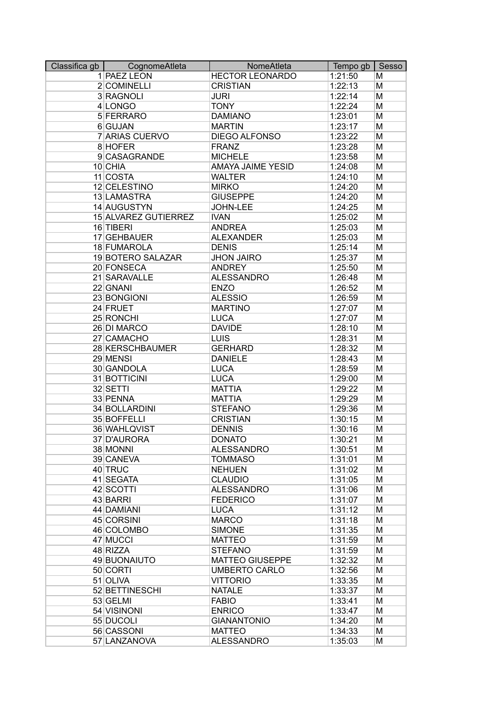| Classifica gb | CognomeAtleta        | NomeAtleta             | Tempo gb | Sesso |
|---------------|----------------------|------------------------|----------|-------|
|               | 1 PAEZ LEON          | <b>HECTOR LEONARDO</b> | 1:21:50  | M     |
|               | 2 COMINELLI          | <b>CRISTIAN</b>        | 1:22:13  | M     |
|               | 3 RAGNOLI            | <b>JURI</b>            | 1:22:14  | M     |
|               | 4 LONGO              | <b>TONY</b>            | 1:22:24  | M     |
|               | 5 FERRARO            | <b>DAMIANO</b>         | 1:23:01  | M     |
|               | 6 GUJAN              | <b>MARTIN</b>          | 1:23:17  | M     |
|               | 7 ARIAS CUERVO       | <b>DIEGO ALFONSO</b>   | 1:23:22  | M     |
|               | 8 HOFER              | <b>FRANZ</b>           | 1:23:28  | M     |
|               | 9 CASAGRANDE         | <b>MICHELE</b>         | 1:23:58  | M     |
|               | 10 CHIA              | AMAYA JAIME YESID      | 1:24:08  | M     |
|               | 11 COSTA             | <b>WALTER</b>          | 1:24:10  | M     |
|               | 12 CELESTINO         | <b>MIRKO</b>           | 1:24:20  | M     |
|               | 13 LAMASTRA          | <b>GIUSEPPE</b>        | 1:24:20  | M     |
|               | 14 AUGUSTYN          | JOHN-LEE               | 1:24:25  | M     |
|               | 15 ALVAREZ GUTIERREZ | <b>IVAN</b>            | 1:25:02  | M     |
|               | 16 TIBERI            | <b>ANDREA</b>          | 1:25:03  | M     |
|               |                      | <b>ALEXANDER</b>       |          |       |
|               | 17 GEHBAUER          |                        | 1:25:03  | M     |
|               | 18 FUMAROLA          | <b>DENIS</b>           | 1:25:14  | M     |
|               | 19 BOTERO SALAZAR    | <b>JHON JAIRO</b>      | 1:25:37  | M     |
|               | 20 FONSECA           | <b>ANDREY</b>          | 1:25:50  | M     |
|               | 21 SARAVALLE         | <b>ALESSANDRO</b>      | 1:26:48  | M     |
|               | 22 GNANI             | <b>ENZO</b>            | 1:26:52  | M     |
|               | 23 BONGIONI          | <b>ALESSIO</b>         | 1:26:59  | M     |
|               | 24 FRUET             | <b>MARTINO</b>         | 1:27:07  | M     |
|               | 25 RONCHI            | <b>LUCA</b>            | 1:27:07  | M     |
|               | 26 DI MARCO          | <b>DAVIDE</b>          | 1:28:10  | M     |
|               | 27 CAMACHO           | <b>LUIS</b>            | 1:28:31  | M     |
|               | 28 KERSCHBAUMER      | <b>GERHARD</b>         | 1:28:32  | M     |
|               | 29 MENSI             | <b>DANIELE</b>         | 1:28:43  | M     |
|               | 30 GANDOLA           | <b>LUCA</b>            | 1:28:59  | M     |
|               | 31 BOTTICINI         | <b>LUCA</b>            | 1:29:00  | M     |
|               | 32 SETTI             | <b>MATTIA</b>          | 1:29:22  | M     |
|               | 33 PENNA             | <b>MATTIA</b>          | 1:29:29  | M     |
|               | 34 BOLLARDINI        | <b>STEFANO</b>         | 1:29:36  | M     |
|               | 35 BOFFELLI          | <b>CRISTIAN</b>        | 1:30:15  | M     |
|               | 36 WAHLQVIST         | <b>DENNIS</b>          | 1:30:16  | M     |
|               | 37 D'AURORA          | <b>DONATO</b>          | 1:30:21  | M     |
|               | 38 MONNI             | <b>ALESSANDRO</b>      | 1:30:51  | М     |
|               | 39 CANEVA            | <b>TOMMASO</b>         | 1:31:01  | M     |
|               | 40 TRUC              | <b>NEHUEN</b>          | 1:31:02  | M     |
|               | 41 SEGATA            | <b>CLAUDIO</b>         | 1:31:05  | M     |
|               | 42 SCOTTI            | <b>ALESSANDRO</b>      | 1:31:06  | M     |
|               | 43 BARRI             | <b>FEDERICO</b>        | 1:31:07  | M     |
|               | 44 DAMIANI           | <b>LUCA</b>            | 1:31:12  | M     |
|               | 45 CORSINI           | <b>MARCO</b>           | 1:31:18  | M     |
|               | 46 COLOMBO           | <b>SIMONE</b>          | 1:31:35  | M     |
|               |                      | <b>MATTEO</b>          | 1:31:59  | M     |
|               | 47 MUCCI<br>48 RIZZA | <b>STEFANO</b>         | 1:31:59  | M     |
|               |                      |                        |          |       |
|               | 49 BUONAIUTO         | <b>MATTEO GIUSEPPE</b> | 1:32:32  | M     |
|               | 50 CORTI             | <b>UMBERTO CARLO</b>   | 1:32:56  | M     |
|               | 51 OLIVA             | <b>VITTORIO</b>        | 1:33:35  | M     |
|               | 52 BETTINESCHI       | <b>NATALE</b>          | 1:33:37  | M     |
|               | 53 GELMI             | <b>FABIO</b>           | 1:33:41  | M     |
|               | 54 VISINONI          | <b>ENRICO</b>          | 1:33:47  | M     |
|               | 55 DUCOLI            | <b>GIANANTONIO</b>     | 1:34:20  | M     |
|               | 56 CASSONI           | <b>MATTEO</b>          | 1:34:33  | M     |
|               | 57 LANZANOVA         | <b>ALESSANDRO</b>      | 1:35:03  | M     |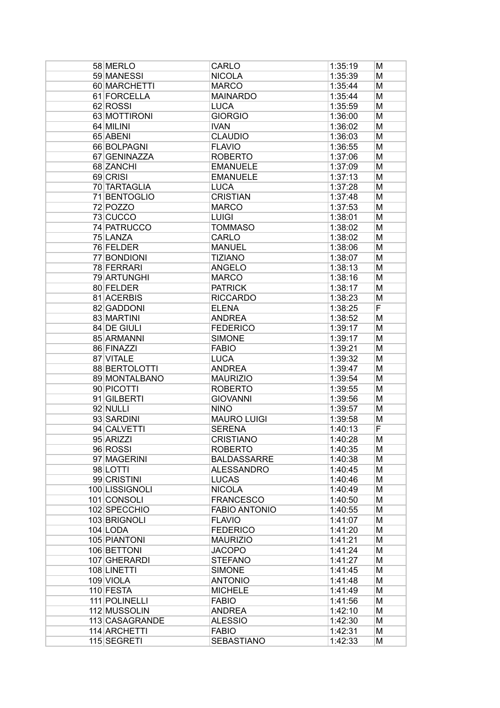| 58 MERLO       | CARLO                | 1:35:19 | м |
|----------------|----------------------|---------|---|
| 59 MANESSI     | <b>NICOLA</b>        | 1:35:39 | M |
| 60 MARCHETTI   | <b>MARCO</b>         | 1:35:44 | M |
| 61 FORCELLA    | <b>MAINARDO</b>      | 1:35:44 | M |
| 62 ROSSI       | <b>LUCA</b>          | 1:35:59 | M |
| 63 MOTTIRONI   | <b>GIORGIO</b>       | 1:36:00 | M |
| 64 MILINI      | <b>IVAN</b>          | 1:36:02 | M |
| 65 ABENI       | <b>CLAUDIO</b>       | 1:36:03 | M |
| 66 BOLPAGNI    | <b>FLAVIO</b>        | 1:36:55 | M |
| 67 GENINAZZA   | <b>ROBERTO</b>       | 1:37:06 | M |
| 68 ZANCHI      | <b>EMANUELE</b>      | 1:37:09 | M |
| 69 CRISI       | <b>EMANUELE</b>      | 1:37:13 | M |
| 70 TARTAGLIA   | <b>LUCA</b>          | 1:37:28 | M |
| 71 BENTOGLIO   | <b>CRISTIAN</b>      | 1:37:48 | M |
| 72 POZZO       | <b>MARCO</b>         | 1:37:53 |   |
|                |                      |         | M |
| 73 CUCCO       | <b>LUIGI</b>         | 1:38:01 | M |
| 74 PATRUCCO    | <b>TOMMASO</b>       | 1:38:02 | M |
| 75 LANZA       | <b>CARLO</b>         | 1:38:02 | M |
| 76 FELDER      | <b>MANUEL</b>        | 1:38:06 | M |
| 77 BONDIONI    | <b>TIZIANO</b>       | 1:38:07 | M |
| 78 FERRARI     | <b>ANGELO</b>        | 1:38:13 | M |
| 79 ARTUNGHI    | <b>MARCO</b>         | 1:38:16 | M |
| 80 FELDER      | <b>PATRICK</b>       | 1:38:17 | M |
| 81 ACERBIS     | <b>RICCARDO</b>      | 1:38:23 | M |
| 82 GADDONI     | <b>ELENA</b>         | 1:38:25 | F |
| 83 MARTINI     | <b>ANDREA</b>        | 1:38:52 | M |
| 84 DE GIULI    | <b>FEDERICO</b>      | 1:39:17 | M |
| 85 ARMANNI     | <b>SIMONE</b>        | 1:39:17 | M |
| 86 FINAZZI     | <b>FABIO</b>         | 1:39:21 | M |
| 87 VITALE      | <b>LUCA</b>          | 1:39:32 | M |
| 88 BERTOLOTTI  | <b>ANDREA</b>        | 1:39:47 | M |
| 89 MONTALBANO  | <b>MAURIZIO</b>      | 1:39:54 | M |
| 90 PICOTTI     | <b>ROBERTO</b>       | 1:39:55 | M |
| 91 GILBERTI    | <b>GIOVANNI</b>      | 1:39:56 | M |
| 92 NULLI       | <b>NINO</b>          | 1:39:57 | M |
| 93 SARDINI     | <b>MAURO LUIGI</b>   | 1:39:58 | M |
| 94 CALVETTI    | <b>SERENA</b>        | 1:40:13 | F |
| 95 ARIZZI      | <b>CRISTIANO</b>     | 1:40:28 | M |
| 96 ROSSI       | <b>ROBERTO</b>       | 1:40:35 | м |
| 97 MAGERINI    | <b>BALDASSARRE</b>   | 1:40:38 | Μ |
| 98 LOTTI       | <b>ALESSANDRO</b>    | 1:40:45 | M |
| 99 CRISTINI    | <b>LUCAS</b>         | 1:40:46 | M |
| 100 LISSIGNOLI | <b>NICOLA</b>        | 1:40:49 | M |
| 101 CONSOLI    | <b>FRANCESCO</b>     | 1:40:50 | M |
| 102 SPECCHIO   | <b>FABIO ANTONIO</b> | 1:40:55 | M |
| 103 BRIGNOLI   | <b>FLAVIO</b>        | 1:41:07 | M |
| 104 LODA       | <b>FEDERICO</b>      | 1:41:20 | M |
| 105 PIANTONI   | <b>MAURIZIO</b>      | 1:41:21 | M |
| 106 BETTONI    | <b>JACOPO</b>        | 1:41:24 | M |
| 107 GHERARDI   | <b>STEFANO</b>       | 1:41:27 | M |
| 108 LINETTI    | <b>SIMONE</b>        | 1:41:45 | M |
| 109 VIOLA      | <b>ANTONIO</b>       | 1:41:48 | M |
| 110 FESTA      | <b>MICHELE</b>       | 1:41:49 | M |
| 111 POLINELLI  | <b>FABIO</b>         | 1:41:56 | M |
| 112 MUSSOLIN   | <b>ANDREA</b>        | 1:42:10 | M |
| 113 CASAGRANDE | <b>ALESSIO</b>       | 1:42:30 | M |
| 114 ARCHETTI   | <b>FABIO</b>         | 1:42:31 | M |
| 115 SEGRETI    | <b>SEBASTIANO</b>    | 1:42:33 | M |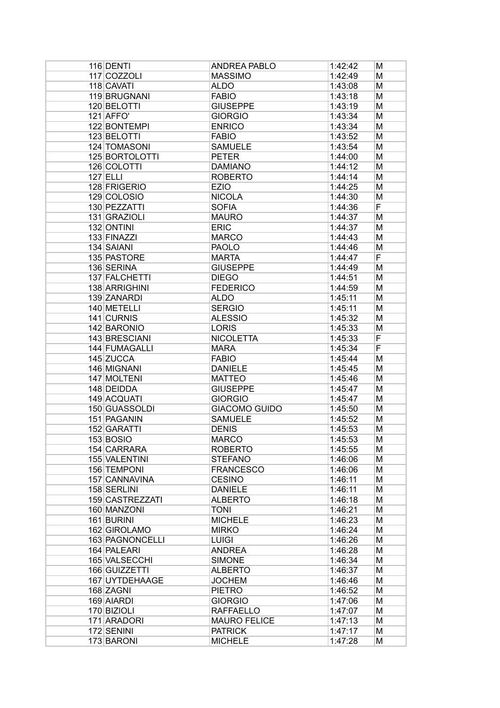| 116 DENTI       | <b>ANDREA PABLO</b>  | 1:42:42 | M |
|-----------------|----------------------|---------|---|
| 117 COZZOLI     | <b>MASSIMO</b>       | 1:42:49 | Μ |
| 118 CAVATI      | <b>ALDO</b>          | 1:43:08 | M |
| 119 BRUGNANI    | <b>FABIO</b>         | 1:43:18 | M |
| 120 BELOTTI     | <b>GIUSEPPE</b>      | 1:43:19 | M |
| $121$ AFFO'     | <b>GIORGIO</b>       | 1:43:34 | M |
| 122 BONTEMPI    | <b>ENRICO</b>        | 1:43:34 | M |
| 123 BELOTTI     | <b>FABIO</b>         | 1:43:52 | M |
| 124 TOMASONI    | <b>SAMUELE</b>       | 1:43:54 | M |
| 125 BORTOLOTTI  | <b>PETER</b>         | 1:44:00 | M |
| 126 COLOTTI     | <b>DAMIANO</b>       | 1:44:12 | M |
| $127$ ELLI      | <b>ROBERTO</b>       | 1:44:14 | M |
| 128 FRIGERIO    | <b>EZIO</b>          | 1:44:25 | M |
| 129 COLOSIO     | <b>NICOLA</b>        | 1:44:30 | M |
| 130 PEZZATTI    | <b>SOFIA</b>         | 1:44:36 | F |
| 131 GRAZIOLI    | <b>MAURO</b>         | 1:44:37 | M |
| 132 ONTINI      | <b>ERIC</b>          | 1:44:37 | M |
| 133 FINAZZI     | <b>MARCO</b>         | 1:44:43 | M |
| 134 SAIANI      | <b>PAOLO</b>         | 1:44:46 | M |
| 135 PASTORE     | <b>MARTA</b>         | 1:44:47 | F |
| 136 SERINA      | <b>GIUSEPPE</b>      | 1:44:49 | M |
| 137 FALCHETTI   | <b>DIEGO</b>         | 1:44:51 | M |
| 138 ARRIGHINI   | <b>FEDERICO</b>      | 1:44:59 | M |
| 139 ZANARDI     | <b>ALDO</b>          | 1:45:11 | M |
| 140 METELLI     | <b>SERGIO</b>        | 1:45:11 | M |
| 141 CURNIS      | <b>ALESSIO</b>       | 1:45:32 | М |
| 142 BARONIO     | <b>LORIS</b>         | 1:45:33 | M |
| 143 BRESCIANI   | <b>NICOLETTA</b>     | 1:45:33 | F |
| 144 FUMAGALLI   | <b>MARA</b>          | 1:45:34 | F |
| 145 ZUCCA       | <b>FABIO</b>         | 1:45:44 | M |
| 146 MIGNANI     | <b>DANIELE</b>       | 1:45:45 | M |
| 147 MOLTENI     | <b>MATTEO</b>        | 1:45:46 | M |
| 148 DEIDDA      | <b>GIUSEPPE</b>      | 1:45:47 | M |
| 149 ACQUATI     | <b>GIORGIO</b>       | 1:45:47 | M |
| 150 GUASSOLDI   | <b>GIACOMO GUIDO</b> | 1:45:50 | M |
| 151 PAGANIN     | <b>SAMUELE</b>       | 1:45:52 | М |
| 152 GARATTI     | <b>DENIS</b>         | 1:45:53 | M |
| 153 BOSIO       | <b>MARCO</b>         | 1:45:53 | M |
| 154 CARRARA     | <b>ROBERTO</b>       | 1:45:55 | м |
| 155 VALENTINI   | <b>STEFANO</b>       | 1:46:06 | M |
| 156 TEMPONI     | <b>FRANCESCO</b>     | 1:46:06 | M |
| 157 CANNAVINA   | <b>CESINO</b>        | 1:46:11 | M |
| 158 SERLINI     | <b>DANIELE</b>       | 1:46:11 | M |
| 159 CASTREZZATI | <b>ALBERTO</b>       | 1:46:18 | M |
| 160 MANZONI     | <b>TONI</b>          | 1:46:21 | M |
| 161 BURINI      | <b>MICHELE</b>       | 1:46:23 | M |
| 162 GIROLAMO    | <b>MIRKO</b>         | 1:46:24 | M |
| 163 PAGNONCELLI | <b>LUIGI</b>         | 1:46:26 | M |
| 164 PALEARI     | <b>ANDREA</b>        | 1:46:28 | M |
| 165 VALSECCHI   | <b>SIMONE</b>        | 1:46:34 | M |
| 166 GUIZZETTI   | <b>ALBERTO</b>       | 1:46:37 | M |
| 167 UYTDEHAAGE  | <b>JOCHEM</b>        | 1:46:46 | M |
| 168 ZAGNI       | <b>PIETRO</b>        | 1:46:52 | M |
| 169 AIARDI      | <b>GIORGIO</b>       | 1:47:06 | M |
| 170 BIZIOLI     | <b>RAFFAELLO</b>     | 1:47:07 | M |
| 171 ARADORI     | <b>MAURO FELICE</b>  | 1:47:13 | M |
| 172 SENINI      | <b>PATRICK</b>       | 1:47:17 | M |
| 173 BARONI      | <b>MICHELE</b>       | 1:47:28 | M |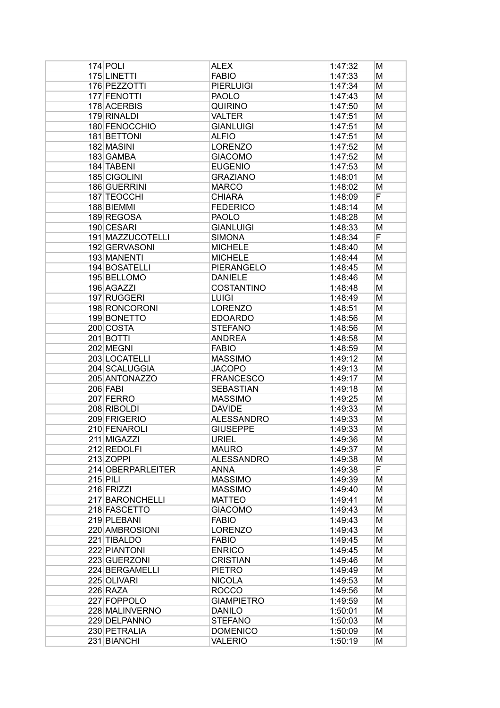| $174$ POLI        | <b>ALEX</b>       | 1:47:32 | м |
|-------------------|-------------------|---------|---|
| 175 LINETTI       | <b>FABIO</b>      | 1:47:33 | M |
| 176 PEZZOTTI      | <b>PIERLUIGI</b>  | 1:47:34 | M |
| 177 FENOTTI       | <b>PAOLO</b>      | 1:47:43 | M |
| 178 ACERBIS       | <b>QUIRINO</b>    | 1:47:50 | M |
| 179 RINALDI       | <b>VALTER</b>     | 1:47:51 | M |
| 180 FENOCCHIO     | <b>GIANLUIGI</b>  | 1:47:51 | M |
| 181 BETTONI       | <b>ALFIO</b>      | 1:47:51 | M |
| 182 MASINI        | <b>LORENZO</b>    | 1:47:52 | M |
| 183 GAMBA         | <b>GIACOMO</b>    | 1:47:52 | M |
| 184 TABENI        | <b>EUGENIO</b>    | 1:47:53 | M |
| 185 CIGOLINI      | <b>GRAZIANO</b>   | 1:48:01 | M |
| 186 GUERRINI      | <b>MARCO</b>      | 1:48:02 | M |
| 187 TEOCCHI       | <b>CHIARA</b>     | 1:48:09 | F |
| 188 BIEMMI        | <b>FEDERICO</b>   | 1:48:14 | M |
| 189 REGOSA        | <b>PAOLO</b>      | 1:48:28 | M |
| 190 CESARI        | <b>GIANLUIGI</b>  | 1:48:33 | M |
| 191 MAZZUCOTELLI  | <b>SIMONA</b>     | 1:48:34 | F |
| 192 GERVASONI     | <b>MICHELE</b>    | 1:48:40 | M |
| 193 MANENTI       | <b>MICHELE</b>    | 1:48:44 | M |
| 194 BOSATELLI     | <b>PIERANGELO</b> | 1:48:45 | M |
| 195 BELLOMO       | <b>DANIELE</b>    | 1:48:46 | M |
| 196 AGAZZI        | <b>COSTANTINO</b> | 1:48:48 | M |
| 197 RUGGERI       | <b>LUIGI</b>      | 1:48:49 | M |
| 198 RONCORONI     | <b>LORENZO</b>    | 1:48:51 | M |
| 199 BONETTO       | <b>EDOARDO</b>    | 1:48:56 | M |
| 200 COSTA         | <b>STEFANO</b>    | 1:48:56 | M |
| 201 BOTTI         | <b>ANDREA</b>     | 1:48:58 | M |
| 202 MEGNI         | <b>FABIO</b>      | 1:48:59 | M |
| 203 LOCATELLI     | <b>MASSIMO</b>    | 1:49:12 | M |
| 204 SCALUGGIA     | <b>JACOPO</b>     | 1:49:13 | M |
| 205 ANTONAZZO     | <b>FRANCESCO</b>  | 1:49:17 | M |
| $206$ FABI        | <b>SEBASTIAN</b>  | 1:49:18 | M |
| 207 FERRO         | <b>MASSIMO</b>    | 1:49:25 | M |
| 208 RIBOLDI       | <b>DAVIDE</b>     | 1:49:33 | M |
| 209 FRIGERIO      | <b>ALESSANDRO</b> | 1:49:33 | м |
| 210 FENAROLI      | <b>GIUSEPPE</b>   | 1:49:33 | M |
| 211 MIGAZZI       | <b>URIEL</b>      | 1:49:36 | M |
| 212 REDOLFI       | <b>MAURO</b>      | 1:49:37 | M |
| $213$ ZOPPI       | <b>ALESSANDRO</b> | 1:49:38 | M |
| 214 OBERPARLEITER | ANNA              | 1:49:38 | F |
| $215$ PILI        | <b>MASSIMO</b>    | 1:49:39 | M |
| 216 FRIZZI        | <b>MASSIMO</b>    | 1:49:40 | M |
| 217 BARONCHELLI   | <b>MATTEO</b>     | 1:49:41 | M |
| 218 FASCETTO      | <b>GIACOMO</b>    | 1:49:43 | M |
| 219 PLEBANI       | <b>FABIO</b>      | 1:49:43 | M |
| 220 AMBROSIONI    | <b>LORENZO</b>    | 1:49:43 | M |
| 221 TIBALDO       | <b>FABIO</b>      | 1:49:45 | M |
| 222 PIANTONI      | <b>ENRICO</b>     | 1:49:45 | M |
| 223 GUERZONI      | <b>CRISTIAN</b>   | 1:49:46 | M |
| 224 BERGAMELLI    | <b>PIETRO</b>     | 1:49:49 | M |
| 225 OLIVARI       | <b>NICOLA</b>     | 1:49:53 | M |
| $226$ RAZA        | <b>ROCCO</b>      | 1:49:56 | M |
| 227 FOPPOLO       | <b>GIAMPIETRO</b> | 1:49:59 | M |
| 228 MALINVERNO    | <b>DANILO</b>     | 1:50:01 | M |
| 229 DELPANNO      | <b>STEFANO</b>    | 1:50:03 | M |
| 230 PETRALIA      | <b>DOMENICO</b>   | 1:50:09 | М |
| 231 BIANCHI       | <b>VALERIO</b>    | 1:50:19 | M |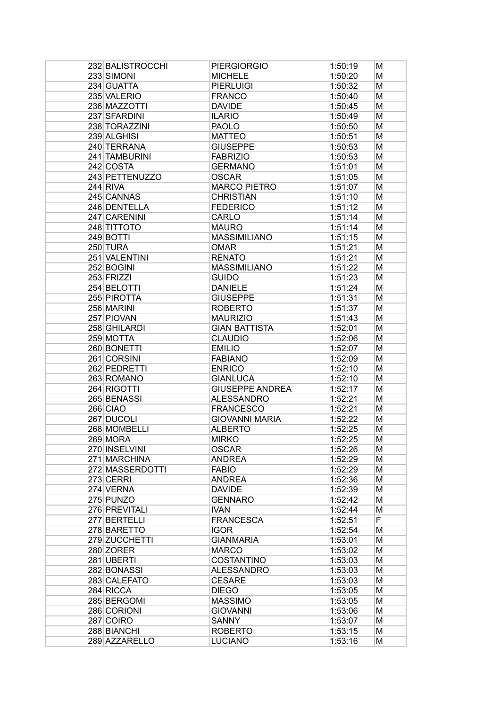| 232 BALISTROCCHI | <b>PIERGIORGIO</b>     | 1:50:19 | м |
|------------------|------------------------|---------|---|
| 233 SIMONI       | <b>MICHELE</b>         | 1:50:20 | M |
| 234 GUATTA       | <b>PIERLUIGI</b>       | 1:50:32 | M |
| 235 VALERIO      | <b>FRANCO</b>          | 1:50:40 | M |
| 236 MAZZOTTI     | <b>DAVIDE</b>          | 1:50:45 | M |
| 237 SFARDINI     | <b>ILARIO</b>          | 1:50:49 | M |
| 238 TORAZZINI    | <b>PAOLO</b>           | 1:50:50 | M |
| 239 ALGHISI      | <b>MATTEO</b>          | 1:50:51 | M |
| 240 TERRANA      | <b>GIUSEPPE</b>        | 1:50:53 | M |
| 241 TAMBURINI    | <b>FABRIZIO</b>        | 1:50:53 | M |
| 242 COSTA        | <b>GERMANO</b>         | 1:51:01 | M |
| 243 PETTENUZZO   | <b>OSCAR</b>           | 1:51:05 | M |
| 244 RIVA         | <b>MARCO PIETRO</b>    | 1:51:07 | M |
| 245 CANNAS       | <b>CHRISTIAN</b>       | 1:51:10 | M |
| 246 DENTELLA     | <b>FEDERICO</b>        | 1:51:12 | M |
| 247 CARENINI     | CARLO                  | 1:51:14 | M |
| 248 TITTOTO      | <b>MAURO</b>           | 1:51:14 |   |
|                  |                        |         | M |
| 249 BOTTI        | <b>MASSIMILIANO</b>    | 1:51:15 | M |
| 250 TURA         | <b>OMAR</b>            | 1:51:21 | M |
| 251 VALENTINI    | <b>RENATO</b>          | 1:51:21 | M |
| 252 BOGINI       | <b>MASSIMILIANO</b>    | 1:51:22 | M |
| 253 FRIZZI       | <b>GUIDO</b>           | 1:51:23 | M |
| 254 BELOTTI      | <b>DANIELE</b>         | 1:51:24 | M |
| 255 PIROTTA      | <b>GIUSEPPE</b>        | 1:51:31 | M |
| 256 MARINI       | <b>ROBERTO</b>         | 1:51:37 | M |
| 257 PIOVAN       | <b>MAURIZIO</b>        | 1:51:43 | M |
| 258 GHILARDI     | <b>GIAN BATTISTA</b>   | 1:52:01 | M |
| 259 MOTTA        | <b>CLAUDIO</b>         | 1:52:06 | M |
| 260 BONETTI      | <b>EMILIO</b>          | 1:52:07 | M |
| 261 CORSINI      | <b>FABIANO</b>         | 1:52:09 | M |
| 262 PEDRETTI     | <b>ENRICO</b>          | 1:52:10 | M |
| 263 ROMANO       | <b>GIANLUCA</b>        | 1:52:10 | M |
| 264 RIGOTTI      | <b>GIUSEPPE ANDREA</b> | 1:52:17 | M |
| 265 BENASSI      | <b>ALESSANDRO</b>      | 1:52:21 | M |
| $266$ CIAO       | <b>FRANCESCO</b>       | 1:52:21 | M |
| 267 DUCOLI       | <b>GIOVANNI MARIA</b>  | 1:52:22 | м |
| 268 MOMBELLI     | <b>ALBERTO</b>         | 1:52:25 | M |
| 269 MORA         | <b>MIRKO</b>           | 1:52:25 | M |
| 270 INSELVINI    | <b>OSCAR</b>           | 1:52:26 | М |
| 271 MARCHINA     | <b>ANDREA</b>          | 1:52:29 | М |
| 272 MASSERDOTTI  | <b>FABIO</b>           | 1:52:29 | M |
| 273 CERRI        | <b>ANDREA</b>          | 1:52:36 | M |
| 274 VERNA        | <b>DAVIDE</b>          | 1:52:39 | M |
| 275 PUNZO        | <b>GENNARO</b>         | 1:52:42 | M |
| 276 PREVITALI    | <b>IVAN</b>            | 1:52:44 | M |
| 277 BERTELLI     | <b>FRANCESCA</b>       | 1:52:51 | F |
| 278 BARETTO      | <b>IGOR</b>            |         |   |
|                  |                        | 1:52:54 | M |
| 279 ZUCCHETTI    | <b>GIANMARIA</b>       | 1:53:01 | M |
| 280 ZORER        | <b>MARCO</b>           | 1:53:02 | M |
| 281 UBERTI       | <b>COSTANTINO</b>      | 1:53:03 | M |
| 282 BONASSI      | <b>ALESSANDRO</b>      | 1:53:03 | M |
| 283 CALEFATO     | <b>CESARE</b>          | 1:53:03 | M |
| 284 RICCA        | <b>DIEGO</b>           | 1:53:05 | M |
| 285 BERGOMI      | <b>MASSIMO</b>         | 1:53:05 | M |
| 286 CORIONI      | <b>GIOVANNI</b>        | 1:53:06 | M |
| 287 COIRO        | <b>SANNY</b>           | 1:53:07 | M |
| 288 BIANCHI      | <b>ROBERTO</b>         | 1:53:15 | М |
| 289 AZZARELLO    | <b>LUCIANO</b>         | 1:53:16 | M |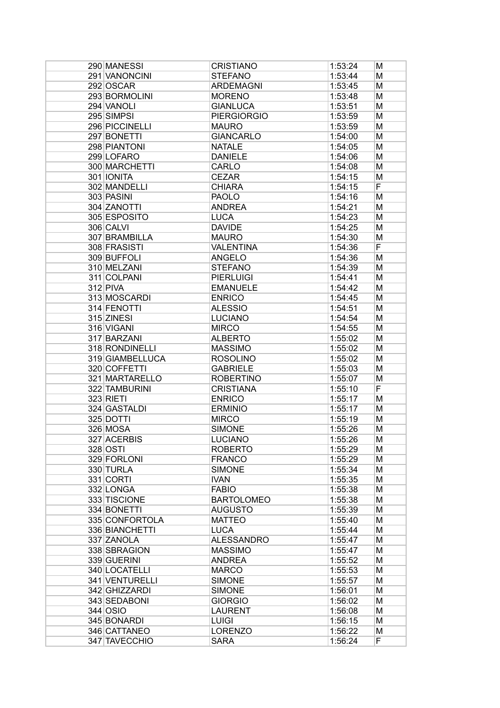| 290 MANESSI     | <b>CRISTIANO</b>   | 1:53:24 | Μ      |
|-----------------|--------------------|---------|--------|
| 291 VANONCINI   | <b>STEFANO</b>     | 1:53:44 | М      |
| 292 OSCAR       | <b>ARDEMAGNI</b>   | 1:53:45 | М      |
| 293 BORMOLINI   | <b>MORENO</b>      | 1:53:48 | М      |
| 294 VANOLI      | <b>GIANLUCA</b>    | 1:53:51 | М      |
| 295 SIMPSI      | <b>PIERGIORGIO</b> | 1:53:59 | М      |
| 296 PICCINELLI  | <b>MAURO</b>       | 1:53:59 | М      |
| 297 BONETTI     | <b>GIANCARLO</b>   | 1:54:00 | М      |
| 298 PIANTONI    | <b>NATALE</b>      | 1:54:05 | М      |
| 299 LOFARO      | <b>DANIELE</b>     | 1:54:06 | М      |
| 300 MARCHETTI   | CARLO              | 1:54:08 | М      |
| 301 IONITA      | <b>CEZAR</b>       | 1:54:15 | М      |
| 302 MANDELLI    | <b>CHIARA</b>      | 1:54:15 | F      |
| 303 PASINI      | <b>PAOLO</b>       | 1:54:16 | М      |
| 304 ZANOTTI     | <b>ANDREA</b>      | 1:54:21 | М      |
| 305 ESPOSITO    | <b>LUCA</b>        | 1:54:23 | М      |
| 306 CALVI       | <b>DAVIDE</b>      | 1:54:25 | М      |
| 307 BRAMBILLA   | <b>MAURO</b>       | 1:54:30 | М      |
| 308 FRASISTI    | <b>VALENTINA</b>   | 1:54:36 | F      |
| 309 BUFFOLI     | <b>ANGELO</b>      | 1:54:36 | М      |
| 310 MELZANI     | <b>STEFANO</b>     | 1:54:39 | М      |
| 311 COLPANI     | <b>PIERLUIGI</b>   | 1:54:41 | М      |
| $312$ PIVA      | <b>EMANUELE</b>    | 1:54:42 | М      |
| 313 MOSCARDI    | <b>ENRICO</b>      | 1:54:45 | М      |
| 314 FENOTTI     | <b>ALESSIO</b>     | 1:54:51 | М      |
| 315 ZINESI      | <b>LUCIANO</b>     | 1:54:54 | М      |
| 316 VIGANI      | <b>MIRCO</b>       | 1:54:55 | М      |
| 317 BARZANI     | <b>ALBERTO</b>     | 1:55:02 | М      |
| 318 RONDINELLI  | <b>MASSIMO</b>     | 1:55:02 | М      |
| 319 GIAMBELLUCA | <b>ROSOLINO</b>    | 1:55:02 | М      |
| 320 COFFETTI    | <b>GABRIELE</b>    |         | М      |
| 321 MARTARELLO  |                    | 1:55:03 |        |
|                 | <b>ROBERTINO</b>   | 1:55:07 | М<br>F |
| 322 TAMBURINI   | <b>CRISTIANA</b>   | 1:55:10 |        |
| 323 RIETI       | <b>ENRICO</b>      | 1:55:17 | М      |
| 324 GASTALDI    | <b>ERMINIO</b>     | 1:55:17 | Μ      |
| 325 DOTTI       | <b>MIRCO</b>       | 1:55:19 | М      |
| 326 MOSA        | <b>SIMONE</b>      | 1:55:26 | М      |
| 327 ACERBIS     | <b>LUCIANO</b>     | 1:55:26 | M      |
| 328 OSTI        | <b>ROBERTO</b>     | 1:55:29 | М      |
| 329 FORLONI     | <b>FRANCO</b>      | 1:55:29 | Μ      |
| 330 TURLA       | <b>SIMONE</b>      | 1:55:34 | Μ      |
| 331 CORTI       | <b>IVAN</b>        | 1:55:35 | М      |
| 332 LONGA       | <b>FABIO</b>       | 1:55:38 | М      |
| 333 TISCIONE    | <b>BARTOLOMEO</b>  | 1:55:38 | М      |
| 334 BONETTI     | <b>AUGUSTO</b>     | 1:55:39 | М      |
| 335 CONFORTOLA  | <b>MATTEO</b>      | 1:55:40 | М      |
| 336 BIANCHETTI  | <b>LUCA</b>        | 1:55:44 | М      |
| 337 ZANOLA      | <b>ALESSANDRO</b>  | 1:55:47 | М      |
| 338 SBRAGION    | <b>MASSIMO</b>     | 1:55:47 | М      |
| 339 GUERINI     | <b>ANDREA</b>      | 1:55:52 | М      |
| 340 LOCATELLI   | <b>MARCO</b>       | 1:55:53 | М      |
| 341 VENTURELLI  | <b>SIMONE</b>      | 1:55:57 | М      |
| 342 GHIZZARDI   | <b>SIMONE</b>      | 1:56:01 | М      |
| 343 SEDABONI    | <b>GIORGIO</b>     | 1:56:02 | Μ      |
| 344 OSIO        | <b>LAURENT</b>     | 1:56:08 | Μ      |
| 345 BONARDI     | <b>LUIGI</b>       | 1:56:15 | Μ      |
| 346 CATTANEO    | <b>LORENZO</b>     | 1:56:22 | Μ      |
| 347 TAVECCHIO   | <b>SARA</b>        | 1:56:24 | F      |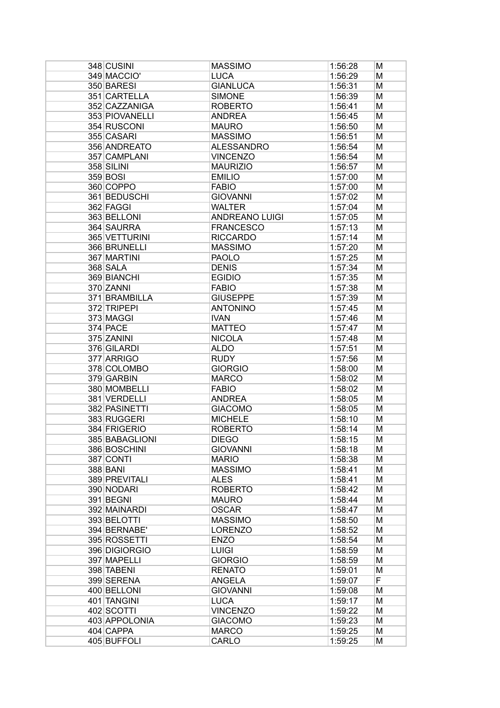| 348 CUSINI     | <b>MASSIMO</b>        | 1:56:28 | м |
|----------------|-----------------------|---------|---|
| 349 MACCIO'    | <b>LUCA</b>           | 1:56:29 | М |
| 350 BARESI     | <b>GIANLUCA</b>       | 1:56:31 | М |
| 351 CARTELLA   | <b>SIMONE</b>         | 1:56:39 | М |
| 352 CAZZANIGA  | <b>ROBERTO</b>        | 1:56:41 | М |
| 353 PIOVANELLI | <b>ANDREA</b>         | 1:56:45 | М |
| 354 RUSCONI    | <b>MAURO</b>          | 1:56:50 | М |
| 355 CASARI     | <b>MASSIMO</b>        | 1:56:51 | М |
| 356 ANDREATO   | <b>ALESSANDRO</b>     | 1:56:54 | М |
| 357 CAMPLANI   | <b>VINCENZO</b>       | 1:56:54 | М |
| 358 SILINI     | <b>MAURIZIO</b>       | 1:56:57 | М |
| 359 BOSI       | <b>EMILIO</b>         | 1:57:00 | М |
| 360 COPPO      | <b>FABIO</b>          | 1:57:00 | М |
| 361 BEDUSCHI   | <b>GIOVANNI</b>       |         | М |
|                |                       | 1:57:02 |   |
| 362 FAGGI      | <b>WALTER</b>         | 1:57:04 | М |
| 363 BELLONI    | <b>ANDREANO LUIGI</b> | 1:57:05 | М |
| 364 SAURRA     | <b>FRANCESCO</b>      | 1:57:13 | М |
| 365 VETTURINI  | <b>RICCARDO</b>       | 1:57:14 | М |
| 366 BRUNELLI   | <b>MASSIMO</b>        | 1:57:20 | М |
| 367 MARTINI    | <b>PAOLO</b>          | 1:57:25 | М |
| 368 SALA       | <b>DENIS</b>          | 1:57:34 | М |
| 369 BIANCHI    | <b>EGIDIO</b>         | 1:57:35 | М |
| 370 ZANNI      | <b>FABIO</b>          | 1:57:38 | М |
| 371 BRAMBILLA  | <b>GIUSEPPE</b>       | 1:57:39 | М |
| 372 TRIPEPI    | <b>ANTONINO</b>       | 1:57:45 | М |
| 373 MAGGI      | <b>IVAN</b>           | 1:57:46 | М |
| 374 PACE       | <b>MATTEO</b>         | 1:57:47 | М |
| 375 ZANINI     | <b>NICOLA</b>         | 1:57:48 | М |
| 376 GILARDI    | <b>ALDO</b>           | 1:57:51 | М |
| 377 ARRIGO     | <b>RUDY</b>           | 1:57:56 | М |
| 378 COLOMBO    | <b>GIORGIO</b>        | 1:58:00 | М |
| 379 GARBIN     | <b>MARCO</b>          | 1:58:02 | М |
| 380 MOMBELLI   | <b>FABIO</b>          | 1:58:02 | М |
| 381 VERDELLI   | <b>ANDREA</b>         | 1:58:05 | М |
| 382 PASINETTI  | <b>GIACOMO</b>        | 1:58:05 | M |
| 383 RUGGERI    | <b>MICHELE</b>        | 1:58:10 | М |
| 384 FRIGERIO   | <b>ROBERTO</b>        | 1:58:14 | M |
| 385 BABAGLIONI | <b>DIEGO</b>          | 1:58:15 | M |
| 386 BOSCHINI   | <b>GIOVANNI</b>       | 1:58:18 | M |
| 387 CONTI      | <b>MARIO</b>          | 1:58:38 | M |
| 388 BANI       | <b>MASSIMO</b>        | 1:58:41 | M |
| 389 PREVITALI  | <b>ALES</b>           | 1:58:41 | M |
| 390 NODARI     | <b>ROBERTO</b>        | 1:58:42 | M |
| 391 BEGNI      | <b>MAURO</b>          | 1:58:44 | M |
| 392 MAINARDI   | <b>OSCAR</b>          | 1:58:47 | M |
| 393 BELOTTI    | <b>MASSIMO</b>        | 1:58:50 | M |
| 394 BERNABE'   | <b>LORENZO</b>        | 1:58:52 | M |
| 395 ROSSETTI   | <b>ENZO</b>           | 1:58:54 | M |
| 396 DIGIORGIO  | <b>LUIGI</b>          | 1:58:59 | M |
| 397 MAPELLI    | <b>GIORGIO</b>        | 1:58:59 | M |
| 398 TABENI     | <b>RENATO</b>         | 1:59:01 | M |
| 399 SERENA     | <b>ANGELA</b>         | 1:59:07 | F |
| 400 BELLONI    | <b>GIOVANNI</b>       | 1:59:08 | M |
| 401 TANGINI    | <b>LUCA</b>           | 1:59:17 | M |
| 402 SCOTTI     | <b>VINCENZO</b>       | 1:59:22 | M |
| 403 APPOLONIA  | <b>GIACOMO</b>        | 1:59:23 | M |
| 404 CAPPA      | <b>MARCO</b>          | 1:59:25 | M |
| 405 BUFFOLI    | CARLO                 | 1:59:25 | M |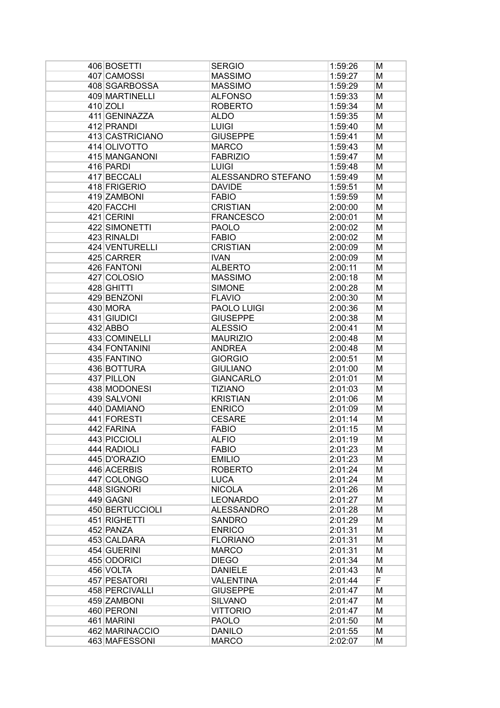| 406 BOSETTI     | <b>SERGIO</b>      | 1:59:26 | м |
|-----------------|--------------------|---------|---|
| 407 CAMOSSI     | <b>MASSIMO</b>     | 1:59:27 | Μ |
| 408 SGARBOSSA   | <b>MASSIMO</b>     | 1:59:29 | M |
| 409 MARTINELLI  | <b>ALFONSO</b>     | 1:59:33 | M |
| $410$ ZOLI      | <b>ROBERTO</b>     | 1:59:34 | M |
| 411 GENINAZZA   | <b>ALDO</b>        | 1:59:35 | M |
| 412 PRANDI      | <b>LUIGI</b>       | 1:59:40 | M |
| 413 CASTRICIANO | <b>GIUSEPPE</b>    | 1:59:41 | M |
| 414 OLIVOTTO    | <b>MARCO</b>       | 1:59:43 | M |
| 415 MANGANONI   | <b>FABRIZIO</b>    | 1:59:47 | M |
| 416 PARDI       | <b>LUIGI</b>       | 1:59:48 | M |
| 417 BECCALI     | ALESSANDRO STEFANO | 1:59:49 | M |
| 418 FRIGERIO    | <b>DAVIDE</b>      | 1:59:51 | M |
| 419 ZAMBONI     | <b>FABIO</b>       | 1:59:59 | M |
| 420 FACCHI      | <b>CRISTIAN</b>    | 2:00:00 | M |
| 421 CERINI      | <b>FRANCESCO</b>   | 2:00:01 | M |
| 422 SIMONETTI   | <b>PAOLO</b>       | 2:00:02 | M |
| 423 RINALDI     | <b>FABIO</b>       |         |   |
| 424 VENTURELLI  | <b>CRISTIAN</b>    | 2:00:02 | M |
|                 |                    | 2:00:09 | M |
| 425 CARRER      | <b>IVAN</b>        | 2:00:09 | M |
| 426 FANTONI     | <b>ALBERTO</b>     | 2:00:11 | M |
| 427 COLOSIO     | <b>MASSIMO</b>     | 2:00:18 | M |
| 428 GHITTI      | <b>SIMONE</b>      | 2:00:28 | M |
| 429 BENZONI     | <b>FLAVIO</b>      | 2:00:30 | M |
| 430 MORA        | PAOLO LUIGI        | 2:00:36 | M |
| 431 GIUDICI     | <b>GIUSEPPE</b>    | 2:00:38 | M |
| $432$ ABBO      | <b>ALESSIO</b>     | 2:00:41 | M |
| 433 COMINELLI   | <b>MAURIZIO</b>    | 2:00:48 | M |
| 434 FONTANINI   | <b>ANDREA</b>      | 2:00:48 | M |
| 435 FANTINO     | <b>GIORGIO</b>     | 2:00:51 | M |
| 436 BOTTURA     | <b>GIULIANO</b>    | 2:01:00 | M |
| 437 PILLON      | <b>GIANCARLO</b>   | 2:01:01 | M |
| 438 MODONESI    | <b>TIZIANO</b>     | 2:01:03 | M |
| 439 SALVONI     | <b>KRISTIAN</b>    | 2:01:06 | M |
| 440 DAMIANO     | <b>ENRICO</b>      | 2:01:09 | M |
| 441 FORESTI     | <b>CESARE</b>      | 2:01:14 | м |
| 442 FARINA      | <b>FABIO</b>       | 2:01:15 | M |
| 443 PICCIOLI    | <b>ALFIO</b>       | 2:01:19 | M |
| 444 RADIOLI     | <b>FABIO</b>       | 2:01:23 | M |
| 445 D'ORAZIO    | <b>EMILIO</b>      | 2:01:23 | M |
| 446 ACERBIS     | <b>ROBERTO</b>     | 2:01:24 | M |
| 447 COLONGO     | <b>LUCA</b>        | 2:01:24 | M |
| 448 SIGNORI     | <b>NICOLA</b>      | 2:01:26 | M |
| 449 GAGNI       | <b>LEONARDO</b>    | 2:01:27 | M |
| 450 BERTUCCIOLI | <b>ALESSANDRO</b>  | 2:01:28 | M |
| 451 RIGHETTI    | <b>SANDRO</b>      | 2:01:29 | M |
|                 |                    |         |   |
| 452 PANZA       | <b>ENRICO</b>      | 2:01:31 | M |
| 453 CALDARA     | <b>FLORIANO</b>    | 2:01:31 | M |
| 454 GUERINI     | <b>MARCO</b>       | 2:01:31 | M |
| 455 ODORICI     | <b>DIEGO</b>       | 2:01:34 | M |
| 456 VOLTA       | <b>DANIELE</b>     | 2:01:43 | M |
| 457 PESATORI    | <b>VALENTINA</b>   | 2:01:44 | F |
| 458 PERCIVALLI  | <b>GIUSEPPE</b>    | 2:01:47 | M |
| 459 ZAMBONI     | <b>SILVANO</b>     | 2:01:47 | M |
| 460 PERONI      | <b>VITTORIO</b>    | 2:01:47 | M |
| 461 MARINI      | <b>PAOLO</b>       | 2:01:50 | M |
| 462 MARINACCIO  | <b>DANILO</b>      | 2:01:55 | M |
| 463 MAFESSONI   | <b>MARCO</b>       | 2:02:07 | м |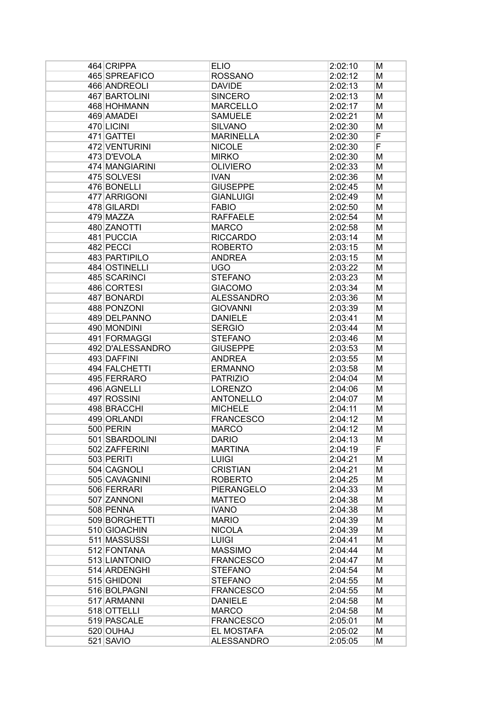| 464 CRIPPA       | <b>ELIO</b>       | 2:02:10 | М |
|------------------|-------------------|---------|---|
| 465 SPREAFICO    | <b>ROSSANO</b>    | 2:02:12 | М |
| 466 ANDREOLI     | <b>DAVIDE</b>     | 2:02:13 | М |
| 467 BARTOLINI    | <b>SINCERO</b>    | 2:02:13 | М |
| 468 HOHMANN      | <b>MARCELLO</b>   | 2:02:17 | М |
| 469 AMADEI       | <b>SAMUELE</b>    | 2:02:21 | М |
| 470 LICINI       | <b>SILVANO</b>    | 2:02:30 | М |
| 471 GATTEI       | <b>MARINELLA</b>  | 2:02:30 | F |
| 472 VENTURINI    | <b>NICOLE</b>     | 2:02:30 | F |
| 473 D'EVOLA      | <b>MIRKO</b>      | 2:02:30 | М |
| 474 MANGIARINI   | <b>OLIVIERO</b>   | 2:02:33 | М |
| 475 SOLVESI      | <b>IVAN</b>       | 2:02:36 | М |
| 476 BONELLI      | <b>GIUSEPPE</b>   | 2:02:45 | М |
| 477 ARRIGONI     | <b>GIANLUIGI</b>  | 2:02:49 | М |
| 478 GILARDI      | <b>FABIO</b>      | 2:02:50 | М |
| 479 MAZZA        | <b>RAFFAELE</b>   | 2:02:54 | М |
| 480 ZANOTTI      | <b>MARCO</b>      | 2:02:58 | М |
| 481 PUCCIA       | <b>RICCARDO</b>   | 2:03:14 | М |
| 482 PECCI        | <b>ROBERTO</b>    | 2:03:15 | М |
| 483 PARTIPILO    | <b>ANDREA</b>     | 2:03:15 | М |
| 484 OSTINELLI    | <b>UGO</b>        | 2:03:22 | М |
| 485 SCARINCI     | <b>STEFANO</b>    | 2:03:23 | М |
| 486 CORTESI      | <b>GIACOMO</b>    | 2:03:34 | М |
| 487 BONARDI      | <b>ALESSANDRO</b> | 2:03:36 | М |
| 488 PONZONI      | <b>GIOVANNI</b>   | 2:03:39 | М |
| 489 DELPANNO     | <b>DANIELE</b>    | 2:03:41 | М |
| 490 MONDINI      | <b>SERGIO</b>     | 2:03:44 | М |
| 491 FORMAGGI     | <b>STEFANO</b>    | 2:03:46 | М |
| 492 D'ALESSANDRO | <b>GIUSEPPE</b>   | 2:03:53 | М |
| 493 DAFFINI      | <b>ANDREA</b>     | 2:03:55 | М |
| 494 FALCHETTI    | <b>ERMANNO</b>    | 2:03:58 | М |
| 495 FERRARO      | <b>PATRIZIO</b>   | 2:04:04 | М |
| 496 AGNELLI      | <b>LORENZO</b>    | 2:04:06 | М |
| 497 ROSSINI      | <b>ANTONELLO</b>  | 2:04:07 | М |
| 498 BRACCHI      | <b>MICHELE</b>    | 2:04:11 | М |
| 499 ORLANDI      | <b>FRANCESCO</b>  | 2:04:12 | М |
| 500 PERIN        | <b>MARCO</b>      | 2:04:12 | М |
| 501 SBARDOLINI   | <b>DARIO</b>      | 2:04:13 | M |
| 502 ZAFFERINI    | <b>MARTINA</b>    | 2:04:19 | F |
| 503 PERITI       | <b>LUIGI</b>      | 2:04:21 | M |
| 504 CAGNOLI      | <b>CRISTIAN</b>   | 2:04:21 | М |
| 505 CAVAGNINI    | <b>ROBERTO</b>    | 2:04:25 | M |
| 506 FERRARI      | PIERANGELO        | 2:04:33 | M |
| 507 ZANNONI      | <b>MATTEO</b>     | 2:04:38 | M |
| 508 PENNA        | <b>IVANO</b>      | 2:04:38 | M |
| 509 BORGHETTI    | <b>MARIO</b>      | 2:04:39 | M |
| 510 GIOACHIN     | <b>NICOLA</b>     | 2:04:39 | M |
| 511 MASSUSSI     | <b>LUIGI</b>      | 2:04:41 | M |
| 512 FONTANA      | <b>MASSIMO</b>    | 2:04:44 | M |
| 513 LIANTONIO    | <b>FRANCESCO</b>  | 2:04:47 | M |
| 514 ARDENGHI     | <b>STEFANO</b>    | 2:04:54 | M |
| 515 GHIDONI      | <b>STEFANO</b>    | 2:04:55 | М |
| 516 BOLPAGNI     | <b>FRANCESCO</b>  | 2:04:55 | М |
| 517 ARMANNI      | <b>DANIELE</b>    | 2:04:58 | М |
| 518 OTTELLI      | <b>MARCO</b>      | 2:04:58 | М |
| 519 PASCALE      | <b>FRANCESCO</b>  | 2:05:01 | М |
| 520 OUHAJ        | EL MOSTAFA        | 2:05:02 | М |
| $521$ SAVIO      | <b>ALESSANDRO</b> | 2:05:05 | М |
|                  |                   |         |   |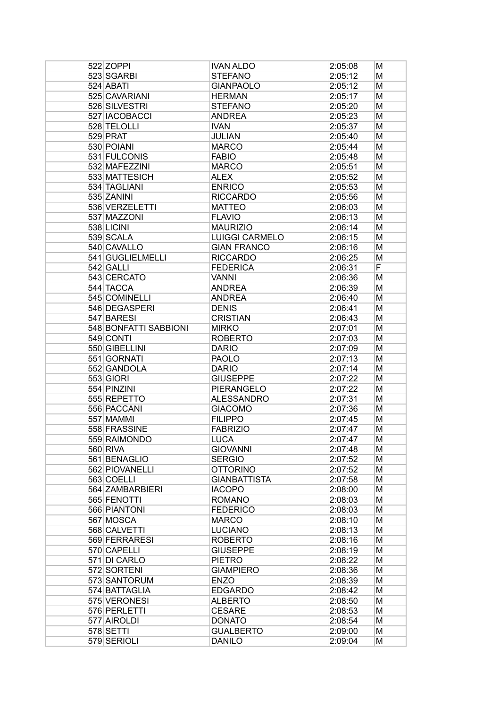| 522 ZOPPI             | <b>IVAN ALDO</b>                  | 2:05:08            | М |
|-----------------------|-----------------------------------|--------------------|---|
| 523 SGARBI            | <b>STEFANO</b>                    | 2:05:12            | М |
| 524 ABATI             | <b>GIANPAOLO</b>                  | 2:05:12            | М |
| 525 CAVARIANI         | <b>HERMAN</b>                     | 2:05:17            | М |
| 526 SILVESTRI         | <b>STEFANO</b>                    | 2:05:20            | М |
| 527 IACOBACCI         | <b>ANDREA</b>                     | 2:05:23            | М |
| 528 TELOLLI           | <b>IVAN</b>                       | 2:05:37            | М |
| 529 PRAT              | <b>JULIAN</b>                     | 2:05:40            | М |
| 530 POIANI            | <b>MARCO</b>                      | 2:05:44            | М |
| 531 FULCONIS          | <b>FABIO</b>                      | 2:05:48            | М |
| 532 MAFEZZINI         | <b>MARCO</b>                      | 2:05:51            | М |
| 533 MATTESICH         | <b>ALEX</b>                       | 2:05:52            | М |
| 534 TAGLIANI          | <b>ENRICO</b>                     | 2:05:53            | М |
| 535 ZANINI            | <b>RICCARDO</b>                   | 2:05:56            | М |
| 536 VERZELETTI        | <b>MATTEO</b>                     | 2:06:03            | М |
| 537 MAZZONI           | <b>FLAVIO</b>                     | 2:06:13            | М |
| 538 LICINI            | <b>MAURIZIO</b>                   | 2:06:14            | М |
| 539 SCALA             | <b>LUIGGI CARMELO</b>             | 2:06:15            | М |
| 540 CAVALLO           | <b>GIAN FRANCO</b>                | 2:06:16            | М |
| 541 GUGLIELMELLI      | <b>RICCARDO</b>                   | 2:06:25            | М |
| 542 GALLI             | <b>FEDERICA</b>                   | 2:06:31            | F |
| 543 CERCATO           | <b>VANNI</b>                      | 2:06:36            | М |
| 544 TACCA             | <b>ANDREA</b>                     | 2:06:39            | М |
| 545 COMINELLI         | <b>ANDREA</b>                     | 2:06:40            | М |
| 546 DEGASPERI         | <b>DENIS</b>                      | 2:06:41            | М |
| 547 BARESI            | <b>CRISTIAN</b>                   | 2:06:43            | М |
| 548 BONFATTI SABBIONI | <b>MIRKO</b>                      | 2:07:01            | М |
| 549 CONTI             | <b>ROBERTO</b>                    | 2:07:03            | М |
| 550 GIBELLINI         | <b>DARIO</b>                      | 2:07:09            | М |
| 551 GORNATI           | <b>PAOLO</b>                      | 2:07:13            | М |
| 552 GANDOLA           | <b>DARIO</b>                      | 2:07:14            | М |
| 553 GIORI             | <b>GIUSEPPE</b>                   | 2:07:22            | М |
| 554 PINZINI           | <b>PIERANGELO</b>                 | 2:07:22            | М |
| 555 REPETTO           | <b>ALESSANDRO</b>                 | 2:07:31            | М |
| 556 PACCANI           | <b>GIACOMO</b>                    | 2:07:36            | М |
| 557 MAMMI             | <b>FILIPPO</b>                    | 2:07:45            | М |
| 558 FRASSINE          | <b>FABRIZIO</b>                   | 2:07:47            | M |
| 559 RAIMONDO          | <b>LUCA</b>                       | 2:07:47            | M |
| 560 RIVA              | <b>GIOVANNI</b>                   | 2:07:48            | М |
| 561 BENAGLIO          | <b>SERGIO</b>                     | 2:07:52            | М |
| 562 PIOVANELLI        | <b>OTTORINO</b>                   | 2:07:52            | М |
| 563 COELLI            | <b>GIANBATTISTA</b>               | 2:07:58            | М |
| 564 ZAMBARBIERI       | <b>IACOPO</b>                     | 2:08:00            | M |
| 565 FENOTTI           | <b>ROMANO</b>                     | 2:08:03            | М |
| 566 PIANTONI          | <b>FEDERICO</b>                   | 2:08:03            | M |
| 567 MOSCA             | <b>MARCO</b>                      | 2:08:10            | M |
| 568 CALVETTI          | <b>LUCIANO</b>                    | 2:08:13            | M |
| 569 FERRARESI         |                                   |                    | M |
| 570 CAPELLI           | <b>ROBERTO</b><br><b>GIUSEPPE</b> | 2:08:16<br>2:08:19 | M |
| 571 DI CARLO          | <b>PIETRO</b>                     | 2:08:22            | М |
| 572 SORTENI           | <b>GIAMPIERO</b>                  | 2:08:36            | М |
| 573 SANTORUM          | <b>ENZO</b>                       | 2:08:39            | М |
| 574 BATTAGLIA         | <b>EDGARDO</b>                    | 2:08:42            |   |
| 575 VERONESI          | <b>ALBERTO</b>                    |                    | М |
| 576 PERLETTI          |                                   | 2:08:50            | М |
|                       | <b>CESARE</b>                     | 2:08:53            | М |
| 577 AIROLDI           | <b>DONATO</b>                     | 2:08:54            | М |
| 578 SETTI             | <b>GUALBERTO</b>                  | 2:09:00            | М |
| 579 SERIOLI           | <b>DANILO</b>                     | 2:09:04            | M |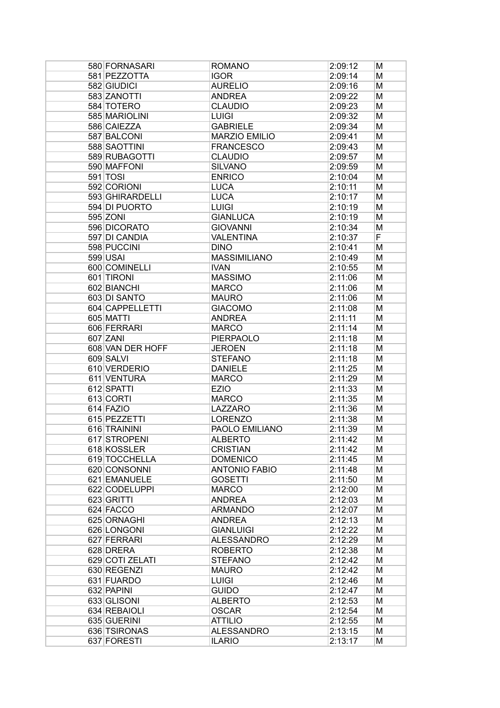| 580 FORNASARI    | <b>ROMANO</b>        | 2:09:12 | М |
|------------------|----------------------|---------|---|
| 581 PEZZOTTA     | <b>IGOR</b>          | 2:09:14 | м |
| 582 GIUDICI      | <b>AURELIO</b>       | 2:09:16 | М |
| 583 ZANOTTI      | <b>ANDREA</b>        | 2:09:22 | М |
| 584 TOTERO       | <b>CLAUDIO</b>       | 2:09:23 | М |
| 585 MARIOLINI    | <b>LUIGI</b>         | 2:09:32 | М |
| 586 CAIEZZA      | <b>GABRIELE</b>      | 2:09:34 | М |
| 587 BALCONI      | <b>MARZIO EMILIO</b> | 2:09:41 | М |
| 588 SAOTTINI     | <b>FRANCESCO</b>     | 2:09:43 | М |
| 589 RUBAGOTTI    | <b>CLAUDIO</b>       | 2:09:57 | М |
| 590 MAFFONI      | <b>SILVANO</b>       | 2:09:59 | М |
| $591$ TOSI       | <b>ENRICO</b>        | 2:10:04 | М |
| 592 CORIONI      | <b>LUCA</b>          | 2:10:11 | М |
| 593 GHIRARDELLI  | <b>LUCA</b>          | 2:10:17 | М |
| 594 DI PUORTO    |                      |         |   |
|                  | <b>LUIGI</b>         | 2:10:19 | М |
| 595 ZONI         | <b>GIANLUCA</b>      | 2:10:19 | М |
| 596 DICORATO     | <b>GIOVANNI</b>      | 2:10:34 | M |
| 597 DI CANDIA    | <b>VALENTINA</b>     | 2:10:37 | F |
| 598 PUCCINI      | <b>DINO</b>          | 2:10:41 | M |
| 599 USAI         | <b>MASSIMILIANO</b>  | 2:10:49 | М |
| 600 COMINELLI    | <b>IVAN</b>          | 2:10:55 | М |
| 601 TIRONI       | <b>MASSIMO</b>       | 2:11:06 | М |
| 602 BIANCHI      | <b>MARCO</b>         | 2:11:06 | М |
| 603 DI SANTO     | <b>MAURO</b>         | 2:11:06 | М |
| 604 CAPPELLETTI  | <b>GIACOMO</b>       | 2:11:08 | М |
| 605 MATTI        | <b>ANDREA</b>        | 2:11:11 | М |
| 606 FERRARI      | <b>MARCO</b>         | 2:11:14 | М |
| 607 ZANI         | <b>PIERPAOLO</b>     | 2:11:18 | М |
| 608 VAN DER HOFF | <b>JEROEN</b>        | 2:11:18 | М |
| 609 SALVI        | <b>STEFANO</b>       | 2:11:18 | М |
| 610 VERDERIO     | <b>DANIELE</b>       |         |   |
|                  |                      | 2:11:25 | М |
| 611 VENTURA      | <b>MARCO</b>         | 2:11:29 | М |
| 612 SPATTI       | <b>EZIO</b>          | 2:11:33 | М |
| 613 CORTI        | <b>MARCO</b>         | 2:11:35 | М |
| 614 FAZIO        | LAZZARO              | 2:11:36 | M |
| 615 PEZZETTI     | <b>LORENZO</b>       | 2:11:38 | М |
| 616 TRAININI     | PAOLO EMILIANO       | 2:11:39 | M |
| 617 STROPENI     | <b>ALBERTO</b>       | 2:11:42 | M |
| 618 KOSSLER      | <b>CRISTIAN</b>      | 2:11:42 | М |
| 619 TOCCHELLA    | <b>DOMENICO</b>      | 2:11:45 | Μ |
| 620 CONSONNI     | <b>ANTONIO FABIO</b> | 2:11:48 | M |
| 621 EMANUELE     | <b>GOSETTI</b>       | 2:11:50 | М |
| 622 CODELUPPI    | <b>MARCO</b>         | 2:12:00 | M |
| 623 GRITTI       | <b>ANDREA</b>        | 2:12:03 | M |
| 624 FACCO        | <b>ARMANDO</b>       | 2:12:07 | M |
| 625 ORNAGHI      | <b>ANDREA</b>        | 2:12:13 | М |
| 626 LONGONI      | <b>GIANLUIGI</b>     | 2:12:22 | M |
| 627 FERRARI      | <b>ALESSANDRO</b>    | 2:12:29 | М |
| 628 DRERA        | <b>ROBERTO</b>       | 2:12:38 | М |
| 629 COTI ZELATI  | <b>STEFANO</b>       | 2:12:42 | М |
|                  |                      |         |   |
| 630 REGENZI      | <b>MAURO</b>         | 2:12:42 | М |
| 631 FUARDO       | <b>LUIGI</b>         | 2:12:46 | М |
| 632 PAPINI       | <b>GUIDO</b>         | 2:12:47 | М |
| 633 GLISONI      | <b>ALBERTO</b>       | 2:12:53 | М |
| 634 REBAIOLI     | <b>OSCAR</b>         | 2:12:54 | М |
| 635 GUERINI      | <b>ATTILIO</b>       | 2:12:55 | М |
| 636 TSIRONAS     | <b>ALESSANDRO</b>    | 2:13:15 | M |
| 637 FORESTI      | <b>ILARIO</b>        | 2:13:17 | M |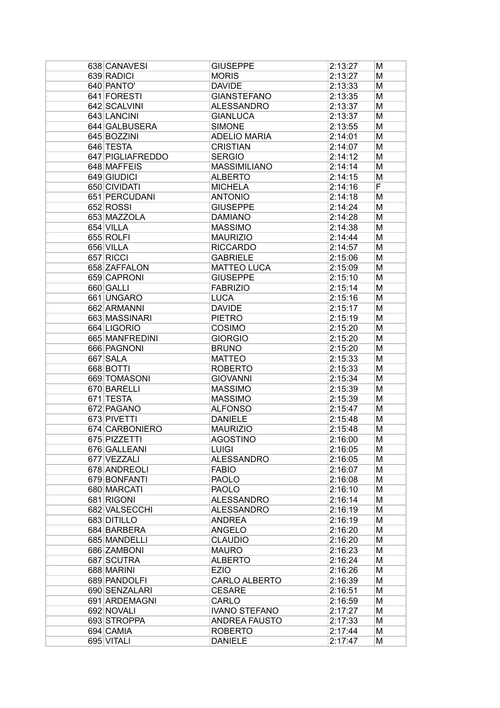| 638 CANAVESI     | <b>GIUSEPPE</b>      | 2:13:27 | М |
|------------------|----------------------|---------|---|
| 639 RADICI       | <b>MORIS</b>         | 2:13:27 | М |
| 640 PANTO'       | <b>DAVIDE</b>        | 2:13:33 | М |
| 641 FORESTI      | <b>GIANSTEFANO</b>   | 2:13:35 | М |
| 642 SCALVINI     | <b>ALESSANDRO</b>    | 2:13:37 | М |
| 643 LANCINI      | <b>GIANLUCA</b>      | 2:13:37 | М |
| 644 GALBUSERA    | <b>SIMONE</b>        | 2:13:55 | М |
| 645 BOZZINI      | <b>ADELIO MARIA</b>  | 2:14:01 | М |
| 646 TESTA        | <b>CRISTIAN</b>      | 2:14:07 | М |
| 647 PIGLIAFREDDO | <b>SERGIO</b>        | 2:14:12 | М |
| 648 MAFFEIS      | <b>MASSIMILIANO</b>  | 2:14:14 | М |
| 649 GIUDICI      | <b>ALBERTO</b>       | 2:14:15 | М |
| 650 CIVIDATI     | <b>MICHELA</b>       | 2:14:16 | F |
| 651 PERCUDANI    | <b>ANTONIO</b>       | 2:14:18 | М |
| 652 ROSSI        | <b>GIUSEPPE</b>      | 2:14:24 | М |
| 653 MAZZOLA      | <b>DAMIANO</b>       | 2:14:28 | М |
| 654 VILLA        | <b>MASSIMO</b>       | 2:14:38 | М |
| 655 ROLFI        | <b>MAURIZIO</b>      | 2:14:44 | М |
| 656 VILLA        | <b>RICCARDO</b>      | 2:14:57 | М |
| 657 RICCI        | <b>GABRIELE</b>      | 2:15:06 | М |
| 658 ZAFFALON     | <b>MATTEO LUCA</b>   | 2:15:09 | М |
| 659 CAPRONI      | <b>GIUSEPPE</b>      | 2:15:10 | М |
| 660 GALLI        | <b>FABRIZIO</b>      | 2:15:14 | М |
| 661 UNGARO       | <b>LUCA</b>          | 2:15:16 | М |
| 662 ARMANNI      | <b>DAVIDE</b>        | 2:15:17 | М |
| 663 MASSINARI    | <b>PIETRO</b>        | 2:15:19 | М |
| 664 LIGORIO      | COSIMO               | 2:15:20 | М |
| 665 MANFREDINI   | <b>GIORGIO</b>       | 2:15:20 | М |
| 666 PAGNONI      | <b>BRUNO</b>         | 2:15:20 | М |
| 667 SALA         | <b>MATTEO</b>        | 2:15:33 | М |
| 668 BOTTI        | <b>ROBERTO</b>       | 2:15:33 | М |
| 669 TOMASONI     | <b>GIOVANNI</b>      | 2:15:34 | М |
| 670 BARELLI      | <b>MASSIMO</b>       | 2:15:39 | М |
| 671 TESTA        | <b>MASSIMO</b>       | 2:15:39 | М |
| 672 PAGANO       | <b>ALFONSO</b>       | 2:15:47 | М |
| 673 PIVETTI      | <b>DANIELE</b>       | 2:15:48 | М |
| 674 CARBONIERO   | <b>MAURIZIO</b>      | 2:15:48 | M |
| 675 PIZZETTI     | <b>AGOSTINO</b>      | 2:16:00 | M |
| 676 GALLEANI     | <b>LUIGI</b>         | 2:16:05 | М |
| 677 VEZZALI      | <b>ALESSANDRO</b>    | 2:16:05 | М |
| 678 ANDREOLI     | <b>FABIO</b>         | 2:16:07 | М |
| 679 BONFANTI     | <b>PAOLO</b>         | 2:16:08 | М |
| 680 MARCATI      | <b>PAOLO</b>         | 2:16:10 | M |
| 681 RIGONI       | <b>ALESSANDRO</b>    | 2:16:14 | M |
| 682 VALSECCHI    | <b>ALESSANDRO</b>    | 2:16:19 | M |
| 683 DITILLO      | <b>ANDREA</b>        | 2:16:19 | M |
| 684 BARBERA      | <b>ANGELO</b>        | 2:16:20 | M |
| 685 MANDELLI     | <b>CLAUDIO</b>       | 2:16:20 | M |
| 686 ZAMBONI      | <b>MAURO</b>         | 2:16:23 | M |
| 687 SCUTRA       | <b>ALBERTO</b>       | 2:16:24 | M |
| 688 MARINI       | <b>EZIO</b>          | 2:16:26 | M |
| 689 PANDOLFI     | <b>CARLO ALBERTO</b> | 2:16:39 | M |
| 690 SENZALARI    | <b>CESARE</b>        | 2:16:51 | M |
| 691 ARDEMAGNI    | <b>CARLO</b>         | 2:16:59 | M |
| 692 NOVALI       | <b>IVANO STEFANO</b> | 2:17:27 | М |
| 693 STROPPA      | <b>ANDREA FAUSTO</b> | 2:17:33 | М |
| 694 CAMIA        | <b>ROBERTO</b>       | 2:17:44 | М |
| 695 VITALI       | <b>DANIELE</b>       | 2:17:47 | M |
|                  |                      |         |   |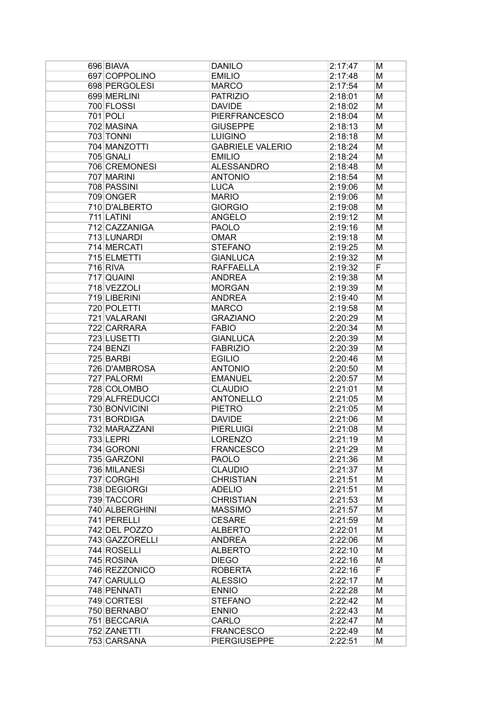| 696 BIAVA      | <b>DANILO</b>           | 2:17:47 | М |
|----------------|-------------------------|---------|---|
| 697 COPPOLINO  | <b>EMILIO</b>           | 2:17:48 | Μ |
| 698 PERGOLESI  | <b>MARCO</b>            | 2:17:54 | M |
| 699 MERLINI    | <b>PATRIZIO</b>         | 2:18:01 | M |
| 700 FLOSSI     | <b>DAVIDE</b>           | 2:18:02 | M |
| 701 POLI       | <b>PIERFRANCESCO</b>    | 2:18:04 | М |
| 702 MASINA     | <b>GIUSEPPE</b>         | 2:18:13 | М |
| 703 TONNI      | <b>LUIGINO</b>          | 2:18:18 | M |
| 704 MANZOTTI   | <b>GABRIELE VALERIO</b> | 2:18:24 | M |
| 705 GNALI      | <b>EMILIO</b>           | 2:18:24 | M |
| 706 CREMONESI  | <b>ALESSANDRO</b>       | 2:18:48 | M |
| 707 MARINI     | <b>ANTONIO</b>          | 2:18:54 | M |
| 708 PASSINI    | <b>LUCA</b>             | 2:19:06 | М |
| 709 ONGER      | <b>MARIO</b>            | 2:19:06 | М |
| 710 D'ALBERTO  | <b>GIORGIO</b>          | 2:19:08 | М |
| 711 LATINI     | <b>ANGELO</b>           | 2:19:12 | М |
| 712 CAZZANIGA  | <b>PAOLO</b>            | 2:19:16 | М |
| 713 LUNARDI    | <b>OMAR</b>             | 2:19:18 | М |
| 714 MERCATI    | <b>STEFANO</b>          | 2:19:25 | М |
| 715 ELMETTI    | <b>GIANLUCA</b>         | 2:19:32 | M |
| $716$ RIVA     | <b>RAFFAELLA</b>        | 2:19:32 | F |
| 717 QUAINI     | <b>ANDREA</b>           | 2:19:38 | M |
| 718 VEZZOLI    | <b>MORGAN</b>           | 2:19:39 | М |
| 719 LIBERINI   | <b>ANDREA</b>           | 2:19:40 | М |
| 720 POLETTI    | <b>MARCO</b>            | 2:19:58 | M |
| 721 VALARANI   | <b>GRAZIANO</b>         | 2:20:29 | M |
| 722 CARRARA    | <b>FABIO</b>            | 2:20:34 | M |
| 723 LUSETTI    | <b>GIANLUCA</b>         | 2:20:39 | M |
| 724 BENZI      | <b>FABRIZIO</b>         | 2:20:39 | M |
| 725 BARBI      | <b>EGILIO</b>           | 2:20:46 | М |
| 726 D'AMBROSA  | <b>ANTONIO</b>          | 2:20:50 | М |
| 727 PALORMI    | <b>EMANUEL</b>          | 2:20:57 | М |
| 728 COLOMBO    | <b>CLAUDIO</b>          | 2:21:01 | М |
| 729 ALFREDUCCI | <b>ANTONELLO</b>        | 2:21:05 | М |
| 730 BONVICINI  | <b>PIETRO</b>           | 2:21:05 | M |
| 731 BORDIGA    | <b>DAVIDE</b>           | 2:21:06 | М |
| 732 MARAZZANI  | <b>PIERLUIGI</b>        | 2:21:08 | M |
| 733 LEPRI      | <b>LORENZO</b>          | 2:21:19 | M |
| 734 GORONI     | <b>FRANCESCO</b>        | 2:21:29 | Μ |
| 735 GARZONI    | <b>PAOLO</b>            | 2:21:36 | M |
| 736 MILANESI   | <b>CLAUDIO</b>          | 2:21:37 | М |
| 737 CORGHI     | <b>CHRISTIAN</b>        | 2:21:51 | М |
| 738 DEGIORGI   | <b>ADELIO</b>           | 2:21:51 | M |
| 739 TACCORI    | <b>CHRISTIAN</b>        | 2:21:53 | M |
| 740 ALBERGHINI | <b>MASSIMO</b>          | 2:21:57 | M |
| 741 PERELLI    | <b>CESARE</b>           | 2:21:59 | M |
| 742 DEL POZZO  | <b>ALBERTO</b>          | 2:22:01 | M |
| 743 GAZZORELLI | <b>ANDREA</b>           | 2:22:06 | M |
| 744 ROSELLI    | <b>ALBERTO</b>          | 2:22:10 | M |
| 745 ROSINA     | <b>DIEGO</b>            | 2:22:16 | M |
| 746 REZZONICO  | <b>ROBERTA</b>          | 2:22:16 | F |
| 747 CARULLO    | <b>ALESSIO</b>          | 2:22:17 | M |
| 748 PENNATI    | <b>ENNIO</b>            | 2:22:28 | М |
| 749 CORTESI    | <b>STEFANO</b>          | 2:22:42 | М |
| 750 BERNABO'   | <b>ENNIO</b>            | 2:22:43 | М |
| 751 BECCARIA   | <b>CARLO</b>            | 2:22:47 | М |
| 752 ZANETTI    | <b>FRANCESCO</b>        | 2:22:49 | Μ |
| 753 CARSANA    | <b>PIERGIUSEPPE</b>     | 2:22:51 | M |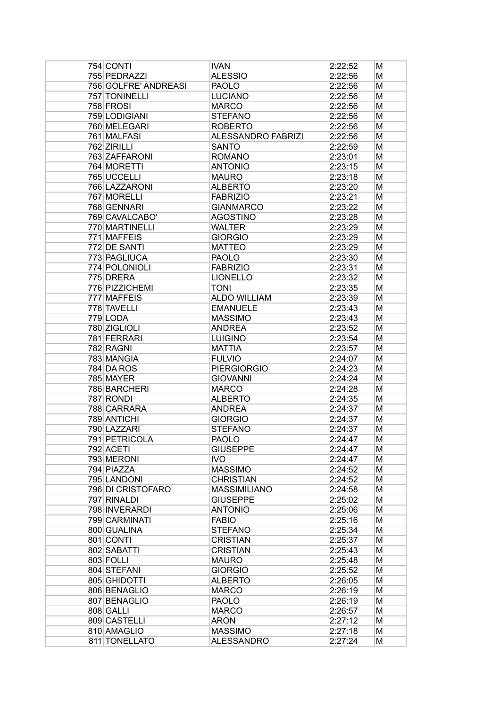| 754 CONTI            | <b>IVAN</b>         | 2:22:52 | М |
|----------------------|---------------------|---------|---|
| 755 PEDRAZZI         | <b>ALESSIO</b>      | 2:22:56 | М |
| 756 GOLFRE' ANDREASI | <b>PAOLO</b>        | 2:22:56 | М |
| 757 TONINELLI        | <b>LUCIANO</b>      | 2:22:56 | М |
| 758 FROSI            | <b>MARCO</b>        | 2:22:56 | М |
| 759 LODIGIANI        | <b>STEFANO</b>      | 2:22:56 | М |
| 760 MELEGARI         | <b>ROBERTO</b>      | 2:22:56 | М |
| 761 MALFASI          | ALESSANDRO FABRIZI  | 2:22:56 | М |
| 762 ZIRILLI          | <b>SANTO</b>        | 2:22:59 | М |
| 763 ZAFFARONI        | <b>ROMANO</b>       | 2:23:01 | М |
| 764 MORETTI          | <b>ANTONIO</b>      | 2:23:15 | М |
| 765 UCCELLI          | <b>MAURO</b>        | 2:23:18 | М |
| 766 LAZZARONI        | <b>ALBERTO</b>      | 2:23:20 | М |
| 767 MORELLI          | <b>FABRIZIO</b>     | 2:23:21 | М |
| 768 GENNARI          | <b>GIANMARCO</b>    | 2:23:22 | М |
| 769 CAVALCABO'       | <b>AGOSTINO</b>     | 2:23:28 | М |
| 770 MARTINELLI       | <b>WALTER</b>       | 2:23:29 | М |
| 771 MAFFEIS          | <b>GIORGIO</b>      | 2:23:29 | М |
| 772 DE SANTI         | <b>MATTEO</b>       | 2:23:29 | М |
| 773 PAGLIUCA         | <b>PAOLO</b>        | 2:23:30 | М |
| 774 POLONIOLI        | <b>FABRIZIO</b>     | 2:23:31 | М |
| 775 DRERA            | <b>LIONELLO</b>     | 2:23:32 | М |
| 776 PIZZICHEMI       | <b>TONI</b>         | 2:23:35 | М |
| 777 MAFFEIS          | <b>ALDO WILLIAM</b> | 2:23:39 | М |
| 778 TAVELLI          | <b>EMANUELE</b>     | 2:23:43 | М |
| 779 LODA             | <b>MASSIMO</b>      | 2:23:43 | М |
| 780 ZIGLIOLI         | <b>ANDREA</b>       | 2:23:52 | М |
| 781 FERRARI          | <b>LUIGINO</b>      | 2:23:54 | М |
| 782 RAGNI            | <b>MATTIA</b>       | 2:23:57 | М |
| 783 MANGIA           | <b>FULVIO</b>       | 2:24:07 | М |
| 784 DA ROS           | <b>PIERGIORGIO</b>  | 2:24:23 | М |
| 785 MAYER            | <b>GIOVANNI</b>     | 2:24:24 | М |
| 786 BARCHERI         | <b>MARCO</b>        | 2:24:28 | М |
| 787 RONDI            | <b>ALBERTO</b>      | 2:24:35 | М |
| 788 CARRARA          | <b>ANDREA</b>       | 2:24:37 | М |
| 789 ANTICHI          | <b>GIORGIO</b>      | 2:24:37 | М |
| 790 LAZZARI          | <b>STEFANO</b>      | 2:24:37 | М |
| 791 PETRICOLA        | <b>PAOLO</b>        | 2:24:47 | M |
| 792 ACETI            | <b>GIUSEPPE</b>     | 2:24:47 | Μ |
| 793 MERONI           | <b>IVO</b>          | 2:24:47 | М |
| 794 PIAZZA           | <b>MASSIMO</b>      | 2:24:52 | М |
| 795 LANDONI          | <b>CHRISTIAN</b>    | 2:24:52 | М |
| 796 DI CRISTOFARO    | <b>MASSIMILIANO</b> | 2:24:58 | М |
| 797 RINALDI          | <b>GIUSEPPE</b>     | 2:25:02 | М |
| 798 INVERARDI        | <b>ANTONIO</b>      | 2:25:06 | М |
| 799 CARMINATI        | <b>FABIO</b>        | 2:25:16 | М |
| 800 GUALINA          | <b>STEFANO</b>      | 2:25:34 | М |
| 801 CONTI            | <b>CRISTIAN</b>     | 2:25:37 | М |
| 802 SABATTI          | <b>CRISTIAN</b>     | 2:25:43 | М |
| 803 FOLLI            | <b>MAURO</b>        | 2:25:48 | М |
| 804 STEFANI          | <b>GIORGIO</b>      | 2:25:52 | М |
| 805 GHIDOTTI         | <b>ALBERTO</b>      | 2:26:05 | М |
| 806 BENAGLIO         | <b>MARCO</b>        | 2:26:19 | М |
| 807 BENAGLIO         | <b>PAOLO</b>        | 2:26:19 | М |
| 808 GALLI            | <b>MARCO</b>        | 2:26:57 | М |
| 809 CASTELLI         | <b>ARON</b>         | 2:27:12 | М |
| 810 AMAGLIO          | <b>MASSIMO</b>      | 2:27:18 | Μ |
| 811 TONELLATO        | <b>ALESSANDRO</b>   | 2:27:24 | M |
|                      |                     |         |   |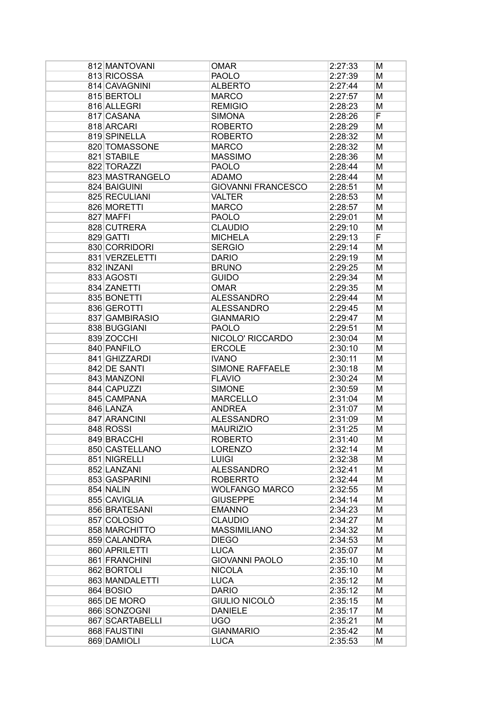| 812 MANTOVANI   | <b>OMAR</b>               | 2:27:33 | М |
|-----------------|---------------------------|---------|---|
| 813 RICOSSA     | <b>PAOLO</b>              | 2:27:39 | М |
| 814 CAVAGNINI   | <b>ALBERTO</b>            | 2:27:44 | М |
| 815 BERTOLI     | <b>MARCO</b>              | 2:27:57 | М |
| 816 ALLEGRI     | <b>REMIGIO</b>            | 2:28:23 | М |
| 817 CASANA      | <b>SIMONA</b>             | 2:28:26 | F |
| 818 ARCARI      | <b>ROBERTO</b>            | 2:28:29 | М |
| 819 SPINELLA    | <b>ROBERTO</b>            | 2:28:32 | М |
| 820 TOMASSONE   | <b>MARCO</b>              | 2:28:32 | М |
| 821 STABILE     | <b>MASSIMO</b>            | 2:28:36 | М |
| 822 TORAZZI     | <b>PAOLO</b>              | 2:28:44 | М |
| 823 MASTRANGELO | <b>ADAMO</b>              | 2:28:44 | М |
| 824 BAIGUINI    | <b>GIOVANNI FRANCESCO</b> | 2:28:51 | М |
| 825 RECULIANI   | <b>VALTER</b>             | 2:28:53 |   |
|                 |                           |         | М |
| 826 MORETTI     | <b>MARCO</b>              | 2:28:57 | М |
| 827 MAFFI       | <b>PAOLO</b>              | 2:29:01 | М |
| 828 CUTRERA     | <b>CLAUDIO</b>            | 2:29:10 | М |
| 829 GATTI       | <b>MICHELA</b>            | 2:29:13 | F |
| 830 CORRIDORI   | <b>SERGIO</b>             | 2:29:14 | М |
| 831 VERZELETTI  | <b>DARIO</b>              | 2:29:19 | М |
| 832 INZANI      | <b>BRUNO</b>              | 2:29:25 | М |
| 833 AGOSTI      | <b>GUIDO</b>              | 2:29:34 | М |
| 834 ZANETTI     | <b>OMAR</b>               | 2:29:35 | М |
| 835 BONETTI     | <b>ALESSANDRO</b>         | 2:29:44 | М |
| 836 GEROTTI     | <b>ALESSANDRO</b>         | 2:29:45 | М |
| 837 GAMBIRASIO  | <b>GIANMARIO</b>          | 2:29:47 | М |
| 838 BUGGIANI    | <b>PAOLO</b>              | 2:29:51 | М |
| 839 ZOCCHI      | NICOLO' RICCARDO          | 2:30:04 | М |
| 840 PANFILO     | <b>ERCOLE</b>             | 2:30:10 | М |
| 841 GHIZZARDI   | <b>IVANO</b>              | 2:30:11 | М |
| 842 DE SANTI    | SIMONE RAFFAELE           | 2:30:18 | М |
| 843 MANZONI     | <b>FLAVIO</b>             | 2:30:24 | М |
| 844 CAPUZZI     | <b>SIMONE</b>             | 2:30:59 | М |
| 845 CAMPANA     | <b>MARCELLO</b>           | 2:31:04 | М |
| 846 LANZA       | <b>ANDREA</b>             | 2:31:07 | М |
| 847 ARANCINI    | <b>ALESSANDRO</b>         | 2:31:09 | М |
| 848 ROSSI       | <b>MAURIZIO</b>           | 2:31:25 | М |
| 849 BRACCHI     | <b>ROBERTO</b>            | 2:31:40 | M |
| 850 CASTELLANO  | <b>LORENZO</b>            | 2:32:14 | М |
| 851 NIGRELLI    | <b>LUIGI</b>              | 2:32:38 | Μ |
| 852 LANZANI     | <b>ALESSANDRO</b>         | 2:32:41 | М |
| 853 GASPARINI   | <b>ROBERRTO</b>           | 2:32:44 | М |
| 854 NALIN       | <b>WOLFANGO MARCO</b>     | 2:32:55 | М |
| 855 CAVIGLIA    | <b>GIUSEPPE</b>           | 2:34:14 | М |
| 856 BRATESANI   | <b>EMANNO</b>             | 2:34:23 | М |
| 857 COLOSIO     | <b>CLAUDIO</b>            | 2:34:27 | М |
| 858 MARCHITTO   | <b>MASSIMILIANO</b>       | 2:34:32 | М |
| 859 CALANDRA    | <b>DIEGO</b>              | 2:34:53 | М |
| 860 APRILETTI   | <b>LUCA</b>               | 2:35:07 | М |
| 861 FRANCHINI   | <b>GIOVANNI PAOLO</b>     | 2:35:10 | М |
| 862 BORTOLI     | <b>NICOLA</b>             | 2:35:10 | М |
| 863 MANDALETTI  | <b>LUCA</b>               | 2:35:12 | М |
| 864 BOSIO       | <b>DARIO</b>              | 2:35:12 | М |
| 865 DE MORO     | GIULIO NICOLÒ             | 2:35:15 | М |
| 866 SONZOGNI    | <b>DANIELE</b>            | 2:35:17 | М |
| 867 SCARTABELLI | <b>UGO</b>                | 2:35:21 | Μ |
| 868 FAUSTINI    | <b>GIANMARIO</b>          | 2:35:42 | Μ |
| 869 DAMIOLI     | <b>LUCA</b>               | 2:35:53 | Μ |
|                 |                           |         |   |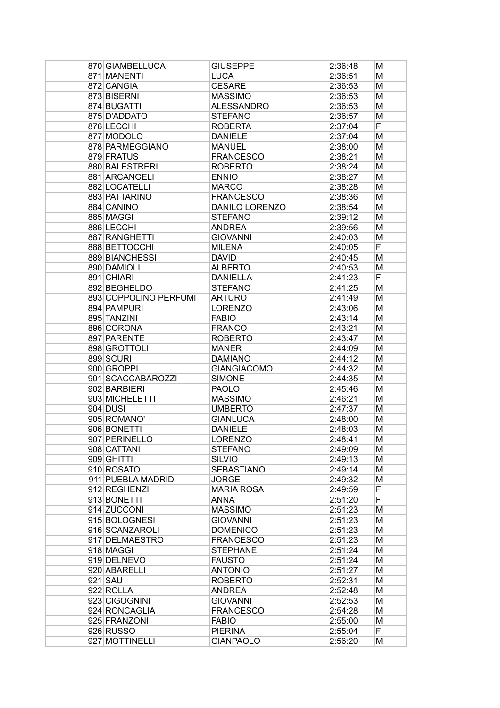| 870 GIAMBELLUCA       | <b>GIUSEPPE</b>       | 2:36:48 | М |
|-----------------------|-----------------------|---------|---|
| 871 MANENTI           | <b>LUCA</b>           | 2:36:51 | М |
| 872 CANGIA            | <b>CESARE</b>         | 2:36:53 | М |
| 873 BISERNI           | <b>MASSIMO</b>        | 2:36:53 | М |
| 874 BUGATTI           | <b>ALESSANDRO</b>     | 2:36:53 | М |
| 875 D'ADDATO          | <b>STEFANO</b>        | 2:36:57 | М |
| 876 LECCHI            | <b>ROBERTA</b>        | 2:37:04 | F |
| 877 MODOLO            | <b>DANIELE</b>        | 2:37:04 | M |
| 878 PARMEGGIANO       | <b>MANUEL</b>         | 2:38:00 | М |
| 879 FRATUS            | <b>FRANCESCO</b>      | 2:38:21 | М |
| 880 BALESTRERI        | <b>ROBERTO</b>        | 2:38:24 | М |
| 881 ARCANGELI         | <b>ENNIO</b>          | 2:38:27 | М |
| 882 LOCATELLI         | <b>MARCO</b>          | 2:38:28 | М |
| 883 PATTARINO         | <b>FRANCESCO</b>      | 2:38:36 | М |
| 884 CANINO            | <b>DANILO LORENZO</b> | 2:38:54 | М |
| 885 MAGGI             | <b>STEFANO</b>        | 2:39:12 | М |
| 886 LECCHI            | <b>ANDREA</b>         | 2:39:56 | М |
|                       |                       |         |   |
| 887 RANGHETTI         | <b>GIOVANNI</b>       | 2:40:03 | М |
| 888 BETTOCCHI         | <b>MILENA</b>         | 2:40:05 | F |
| 889 BIANCHESSI        | <b>DAVID</b>          | 2:40:45 | M |
| 890 DAMIOLI           | <b>ALBERTO</b>        | 2:40:53 | М |
| 891 CHIARI            | <b>DANIELLA</b>       | 2:41:23 | F |
| 892 BEGHELDO          | <b>STEFANO</b>        | 2:41:25 | M |
| 893 COPPOLINO PERFUMI | <b>ARTURO</b>         | 2:41:49 | М |
| 894 PAMPURI           | <b>LORENZO</b>        | 2:43:06 | М |
| 895 TANZINI           | <b>FABIO</b>          | 2:43:14 | М |
| 896 CORONA            | <b>FRANCO</b>         | 2:43:21 | М |
| 897 PARENTE           | <b>ROBERTO</b>        | 2:43:47 | М |
| 898 GROTTOLI          | <b>MANER</b>          | 2:44:09 | М |
| 899 SCURI             | <b>DAMIANO</b>        | 2:44:12 | М |
| 900 GROPPI            | <b>GIANGIACOMO</b>    | 2:44:32 | М |
| 901 SCACCABAROZZI     | <b>SIMONE</b>         | 2:44:35 | М |
| 902 BARBIERI          | <b>PAOLO</b>          | 2:45:46 | М |
| 903 MICHELETTI        | <b>MASSIMO</b>        | 2:46:21 | М |
| 904 DUSI              | <b>UMBERTO</b>        | 2:47:37 | М |
| 905 ROMANO'           | <b>GIANLUCA</b>       | 2:48:00 | М |
| 906 BONETTI           | <b>DANIELE</b>        | 2:48:03 | М |
| 907 PERINELLO         | <b>LORENZO</b>        | 2:48:41 | M |
| 908 CATTANI           | <b>STEFANO</b>        | 2:49:09 | М |
| 909 GHITTI            | <b>SILVIO</b>         | 2:49:13 | М |
| 910 ROSATO            | <b>SEBASTIANO</b>     | 2:49:14 | М |
| 911 PUEBLA MADRID     | <b>JORGE</b>          | 2:49:32 | М |
| 912 REGHENZI          | <b>MARIA ROSA</b>     | 2:49:59 | F |
| 913 BONETTI           | <b>ANNA</b>           | 2:51:20 | F |
| 914 ZUCCONI           | <b>MASSIMO</b>        | 2:51:23 | М |
| 915 BOLOGNESI         | <b>GIOVANNI</b>       | 2:51:23 | М |
| 916 SCANZAROLI        | <b>DOMENICO</b>       | 2:51:23 | М |
| 917 DELMAESTRO        | <b>FRANCESCO</b>      | 2:51:23 | М |
| 918 MAGGI             | <b>STEPHANE</b>       | 2:51:24 | М |
| 919 DELNEVO           | <b>FAUSTO</b>         | 2:51:24 | М |
| 920 ABARELLI          | <b>ANTONIO</b>        | 2:51:27 | М |
| 921 SAU               | <b>ROBERTO</b>        | 2:52:31 | М |
| 922 ROLLA             | <b>ANDREA</b>         | 2:52:48 |   |
| 923 CIGOGNINI         | <b>GIOVANNI</b>       |         | М |
|                       |                       | 2:52:53 | М |
| 924 RONCAGLIA         | <b>FRANCESCO</b>      | 2:54:28 | М |
| 925 FRANZONI          | <b>FABIO</b>          | 2:55:00 | М |
| 926 RUSSO             | <b>PIERINA</b>        | 2:55:04 | F |
| 927 MOTTINELLI        | <b>GIANPAOLO</b>      | 2:56:20 | M |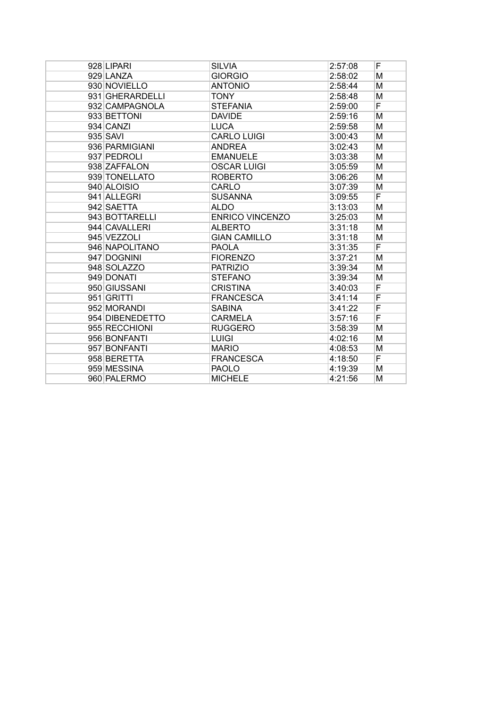| 928 LIPARI      | <b>SILVIA</b>          | 2:57:08 | F |
|-----------------|------------------------|---------|---|
| 929 LANZA       | <b>GIORGIO</b>         | 2:58:02 | M |
| 930 NOVIELLO    | <b>ANTONIO</b>         | 2:58:44 | М |
| 931 GHERARDELLI | <b>TONY</b>            | 2:58:48 | M |
| 932 CAMPAGNOLA  | <b>STEFANIA</b>        | 2:59:00 | F |
| 933 BETTONI     | <b>DAVIDE</b>          | 2:59:16 | M |
| 934 CANZI       | <b>LUCA</b>            | 2:59:58 | M |
| 935 SAVI        | <b>CARLO LUIGI</b>     | 3:00:43 | М |
| 936 PARMIGIANI  | <b>ANDREA</b>          | 3:02:43 | M |
| 937 PEDROLI     | <b>EMANUELE</b>        | 3:03:38 | М |
| 938 ZAFFALON    | <b>OSCAR LUIGI</b>     | 3:05:59 | M |
| 939 TONELLATO   | <b>ROBERTO</b>         | 3:06:26 | M |
| 940 ALOISIO     | CARLO                  | 3:07:39 | M |
| 941 ALLEGRI     | <b>SUSANNA</b>         | 3:09:55 | F |
| 942 SAETTA      | <b>ALDO</b>            | 3:13:03 | M |
| 943 BOTTARELLI  | <b>ENRICO VINCENZO</b> | 3:25:03 | M |
| 944 CAVALLERI   | <b>ALBERTO</b>         | 3:31:18 | М |
| 945 VEZZOLI     | <b>GIAN CAMILLO</b>    | 3:31:18 | M |
| 946 NAPOLITANO  | <b>PAOLA</b>           | 3:31:35 | F |
| 947 DOGNINI     | <b>FIORENZO</b>        | 3:37:21 | M |
| 948 SOLAZZO     | <b>PATRIZIO</b>        | 3:39:34 | M |
| 949 DONATI      | <b>STEFANO</b>         | 3:39:34 | M |
| 950 GIUSSANI    | <b>CRISTINA</b>        | 3:40:03 | F |
| 951 GRITTI      | <b>FRANCESCA</b>       | 3:41:14 | F |
| 952 MORANDI     | <b>SABINA</b>          | 3:41:22 | F |
| 954 DIBENEDETTO | <b>CARMELA</b>         | 3:57:16 | F |
| 955 RECCHIONI   | <b>RUGGERO</b>         | 3:58:39 | M |
| 956 BONFANTI    | <b>LUIGI</b>           | 4:02:16 | М |
| 957 BONFANTI    | <b>MARIO</b>           | 4:08:53 | M |
| 958 BERETTA     | <b>FRANCESCA</b>       | 4:18:50 | F |
| 959 MESSINA     | <b>PAOLO</b>           | 4:19:39 | м |
| 960 PALERMO     | <b>MICHELE</b>         | 4:21:56 | M |
|                 |                        |         |   |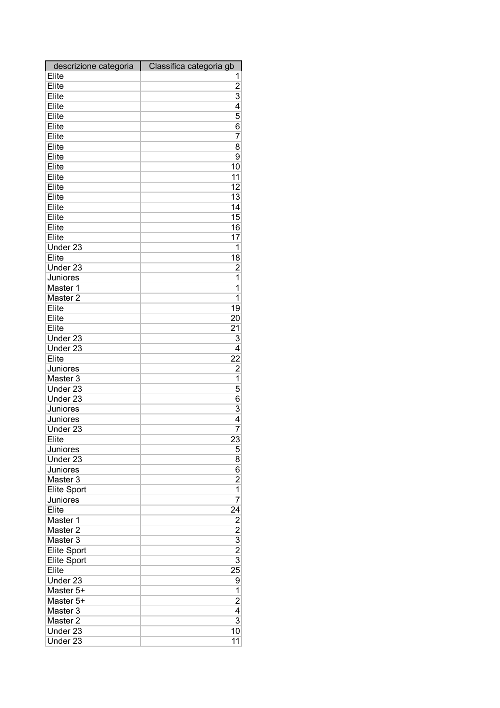| descrizione categoria | Classifica categoria gb |
|-----------------------|-------------------------|
| Elite                 | 1                       |
| Elite                 | $\overline{c}$          |
| Elite                 | 3                       |
| Elite                 | 4                       |
| Elite                 | 5                       |
| Elite                 | 6                       |
| Elite                 | 7                       |
| Elite                 | 8                       |
| Elite                 | 9                       |
| Elite                 | 10                      |
| Elite                 | 11                      |
| Elite                 | 12                      |
| Elite                 | 13                      |
| Elite                 | 14                      |
| Elite                 | 15                      |
| Elite                 | 16                      |
| Elite                 |                         |
|                       | 17                      |
| Under 23              | 1                       |
| Elite                 | 18                      |
| Under 23              | 2                       |
| Juniores              | 1                       |
| Master 1              | 1                       |
| Master <sub>2</sub>   | 1                       |
| Elite                 | 19                      |
| Elite                 | 20                      |
| Elite                 | 21                      |
| Under 23              | 3                       |
| Under 23              | 4                       |
| Elite                 | $2\overline{2}$         |
| Juniores              | $\overline{c}$          |
| Master 3              | $\overline{1}$          |
| Under 23              | 5                       |
| Under 23              | 6                       |
| Juniores              | 3                       |
| Juniores              | 4                       |
| Under 23              | 7                       |
| Elite                 | 23                      |
| Juniores              | 5                       |
| Under 23              | 8                       |
| Juniores              | 6                       |
| Master 3              | 2                       |
| <b>Elite Sport</b>    | 1                       |
| Juniores              | 7                       |
| Elite                 | 24                      |
| Master 1              | $\overline{c}$          |
| Master <sub>2</sub>   |                         |
| Master 3              | $\frac{2}{3}$           |
|                       |                         |
| <b>Elite Sport</b>    | $\overline{3}$          |
| <b>Elite Sport</b>    |                         |
| Elite                 | 25                      |
| Under 23              | 9                       |
| Master 5+             | 1                       |
| Master 5+             | $\overline{c}$          |
| Master 3              | 4                       |
| Master <sub>2</sub>   | $\overline{3}$          |
| Under 23              | 10                      |
| Under 23              | 11                      |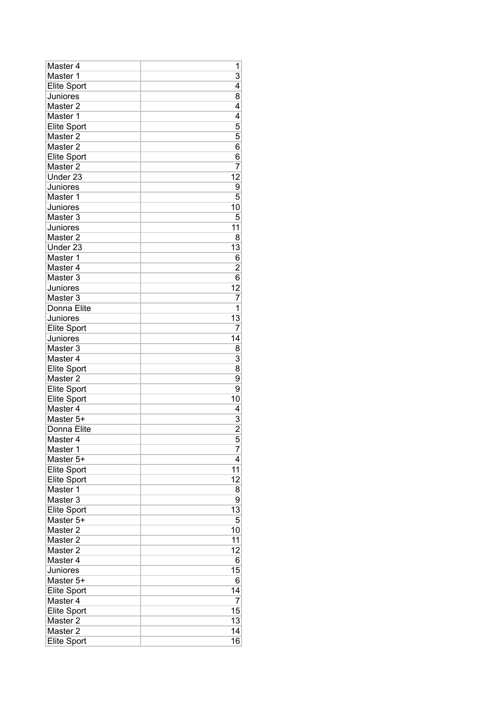| Master 4                                  | 1                   |
|-------------------------------------------|---------------------|
| Master 1                                  | 3                   |
| <b>Elite Sport</b>                        | 4                   |
| Juniores                                  | 8                   |
| Master <sub>2</sub>                       | 4                   |
| Master 1                                  | 4                   |
| <b>Elite Sport</b>                        | 5                   |
| Master 2                                  | 5                   |
| Master <sub>2</sub>                       | 6                   |
| <b>Elite Sport</b>                        | 6                   |
| Master <sub>2</sub>                       | 7                   |
| Under <sub>23</sub>                       | 12                  |
| Juniores                                  | 9                   |
| Master 1                                  | 5                   |
| Juniores                                  | 10                  |
| Master 3                                  | 5                   |
| Juniores                                  | 11                  |
| Master <sub>2</sub>                       | 8                   |
| Under <sub>23</sub>                       | 13                  |
| Master 1                                  | 6                   |
| Master 4                                  | $\overline{c}$      |
| Master 3                                  | 6                   |
| Juniores                                  | 12                  |
| Master 3                                  | 7                   |
| Donna Elite                               | 1                   |
| Juniores                                  | 13                  |
| Elite Sport                               | 7                   |
| Juniores                                  | 14                  |
| Master 3                                  | 8                   |
| Master 4                                  | 3                   |
|                                           | 8                   |
| <b>Elite Sport</b><br>Master <sub>2</sub> | 9                   |
|                                           | 9                   |
| <b>Elite Sport</b>                        |                     |
| Elite Sport                               | 10<br>4             |
| Master 4<br>Master 5+                     |                     |
|                                           | 3<br>$\overline{2}$ |
| Donna Elite                               |                     |
| Master 4                                  | 5                   |
| Master 1                                  | 7                   |
| Master 5+                                 | 4                   |
| <b>Elite Sport</b>                        | 11                  |
| <b>Elite Sport</b>                        | 12                  |
| Master 1                                  | 8                   |
| Master 3                                  | 9                   |
| <b>Elite Sport</b>                        | 13                  |
| Master 5+                                 | 5                   |
| Master <sub>2</sub>                       | 10                  |
| Master 2                                  | 11                  |
| Master 2                                  | 12                  |
| Master 4                                  | 6                   |
| Juniores                                  | 15                  |
| Master 5+                                 | 6                   |
| <b>Elite Sport</b>                        | 14                  |
| Master 4                                  | 7                   |
| <b>Elite Sport</b>                        | 15                  |
| Master <sub>2</sub>                       | 13                  |
| Master <sub>2</sub>                       | 14                  |
| <b>Elite Sport</b>                        | 16                  |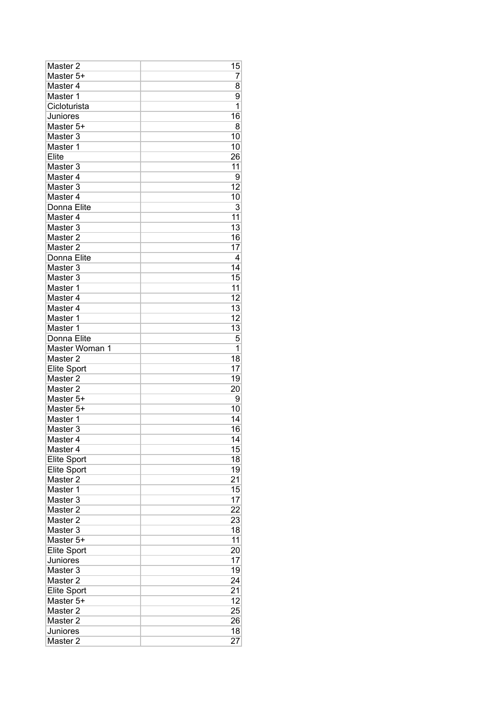| Master <sub>2</sub>                      | 15       |
|------------------------------------------|----------|
| Master 5+                                | 7        |
| Master 4                                 | 8        |
| Master 1                                 | 9        |
| Cicloturista                             | 1        |
| Juniores                                 | 16       |
| Master 5+                                | 8        |
| Master 3                                 | 10       |
| Master 1                                 | 10       |
| Elite                                    | 26       |
| Master 3                                 | 11       |
| Master 4                                 | 9        |
| Master 3                                 | 12       |
| Master 4                                 | 10       |
| Donna Elite                              | 3        |
| Master 4                                 | 11       |
| Master <sub>3</sub>                      | 13       |
| Master <sub>2</sub>                      | 16       |
| Master <sub>2</sub>                      | 17       |
| Donna Elite                              | 4        |
| Master 3                                 | 14       |
| Master 3                                 | 15       |
| Master 1                                 | 11       |
| Master 4                                 | 12       |
| Master 4                                 | 13       |
| Master 1                                 | 12       |
| Master 1                                 | 13       |
| Donna Elite                              | 5        |
| Master Woman 1                           | 1        |
|                                          |          |
| Master <sub>2</sub>                      | 18       |
|                                          | 17       |
| <b>Elite Sport</b><br>Master 2           | 19       |
| Master <sub>2</sub>                      | 20       |
| Master 5+                                | 9        |
| Master 5+                                | 10       |
| Master 1                                 | 14       |
| Master <sub>3</sub>                      | 16       |
| Master 4                                 | 14       |
| Master 4                                 | 15       |
|                                          | 18       |
| <b>Elite Sport</b><br><b>Elite Sport</b> | 19       |
| Master <sub>2</sub>                      | 21       |
| Master 1                                 | 15       |
| Master 3                                 | 17       |
| Master <sub>2</sub>                      | 22       |
| Master <sub>2</sub>                      | 23       |
| Master <sub>3</sub>                      | 18       |
| Master 5+                                | 11       |
| <b>Elite Sport</b>                       | 20       |
| Juniores                                 | 17       |
| Master 3                                 | 19       |
| Master <sub>2</sub>                      | 24       |
| <b>Elite Sport</b>                       | 21       |
| Master 5+                                | 12       |
| Master <sub>2</sub>                      | 25       |
| Master 2                                 | 26       |
| Juniores<br>Master <sub>2</sub>          | 18<br>27 |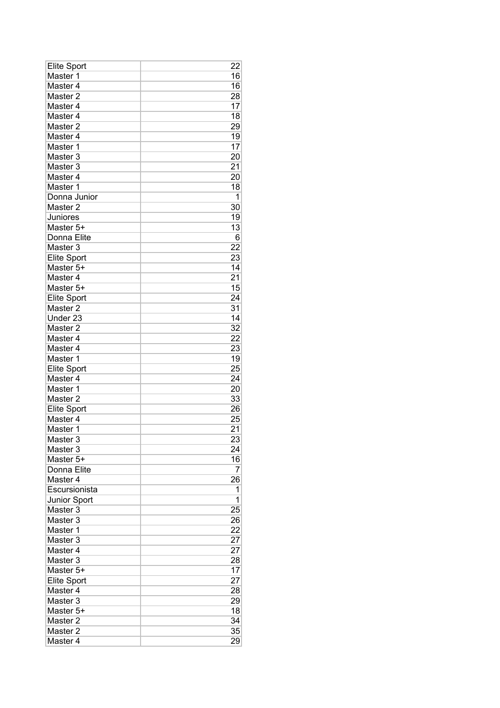| Elite Sport         | 22              |
|---------------------|-----------------|
| Master 1            | 16              |
| Master 4            | 16              |
| Master 2            | 28              |
| Master 4            | 17              |
| Master 4            | 18              |
| Master <sub>2</sub> | 29              |
| Master 4            | 19              |
| Master 1            | 17              |
| Master 3            | 20              |
| Master <sub>3</sub> | 21              |
| Master 4            | 20              |
| Master 1            | 18              |
| Donna Junior        | 1               |
| Master <sub>2</sub> | 30              |
| Juniores            | 19              |
| Master 5+           | 13              |
| Donna Elite         | 6               |
| Master 3            | 22              |
| <b>Elite Sport</b>  | 23              |
| Master 5+           | 14              |
| Master 4            | 21              |
| Master 5+           | 15              |
| <b>Elite Sport</b>  | 24              |
| Master <sub>2</sub> | 31              |
| Under 23            | $\overline{14}$ |
| Master <sub>2</sub> | 32              |
| Master 4            | 22              |
| Master 4            | 23              |
| Master 1            | 19              |
| <b>Elite Sport</b>  | 25              |
| Master 4            | 24              |
| Master 1            | 20              |
| Master <sub>2</sub> | 33              |
| <b>Elite Sport</b>  | 26              |
| Master 4            | 25              |
| Master 1            | 21              |
| Master 3            | 23              |
| Master 3            | 24              |
| Master 5+           | 16              |
| Donna Elite         | 7               |
| Master 4            | 26              |
| Escursionista       | 1               |
| Junior Sport        | 1               |
| Master 3            | 25              |
| Master 3            | 26              |
| Master 1            | 22              |
| Master 3            | 27              |
| Master 4            | 27              |
| Master 3            | 28              |
| Master 5+           | 17              |
| <b>Elite Sport</b>  | 27              |
| Master 4            | 28              |
| Master <sub>3</sub> | 29              |
| Master 5+           | 18              |
| Master 2            | 34              |
| Master 2            | 35              |
| Master 4            | 29              |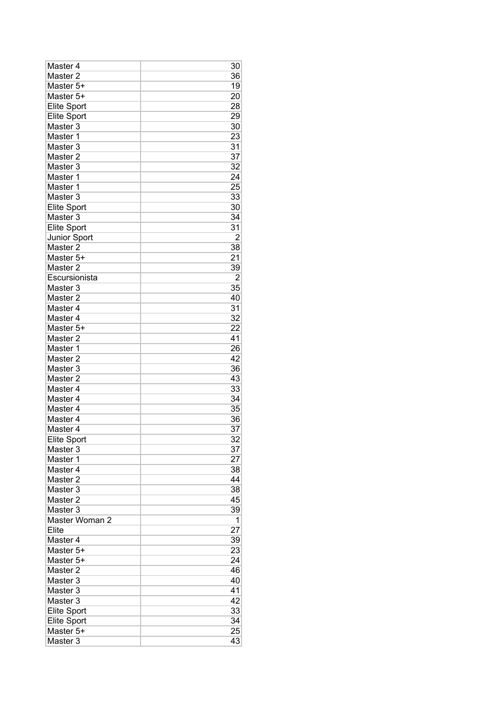| Master 4            | 30              |
|---------------------|-----------------|
| Master <sub>2</sub> | 36              |
| Master 5+           | 19              |
| Master 5+           | 20              |
| <b>Elite Sport</b>  | 28              |
| Elite Sport         | 29              |
| Master 3            | 30              |
| Master 1            | 23              |
| Master 3            | 31              |
| Master <sub>2</sub> | 37              |
| Master <sub>3</sub> | 32              |
| Master 1            | 24              |
| Master 1            | 25              |
| Master 3            | 33              |
| <b>Elite Sport</b>  | 30              |
| Master 3            | 34              |
| <b>Elite Sport</b>  | 31              |
| Junior Sport        | $\overline{2}$  |
| Master 2            | 38              |
| Master 5+           | 21              |
| Master <sub>2</sub> | 39              |
| Escursionista       | $\overline{2}$  |
| Master 3            | 35              |
| Master <sub>2</sub> | 40              |
| Master 4            | 31              |
| Master 4            | 32              |
| Master 5+           |                 |
|                     | 22<br>41        |
| Master <sub>2</sub> |                 |
| Master 1            | 26              |
| Master <sub>2</sub> | 42              |
| Master 3            | 36              |
| Master <sub>2</sub> | 43              |
| Master 4            | 33              |
| Master 4            | 34              |
| Master 4            | 35              |
| Master 4            | 36              |
| Master 4            | 37              |
| Elite Sport         | $\overline{32}$ |
| Master 3            | 37              |
| Master <sub>1</sub> | 27              |
| Master 4            | 38              |
| Master 2            | 44              |
| Master <sub>3</sub> | 38              |
| Master 2            | 45              |
| Master 3            | 39              |
| Master Woman 2      | 1               |
| Elite               | 27              |
| Master 4            | 39              |
| Master 5+           | 23              |
| Master 5+           | 24              |
| Master 2            | 46              |
| Master 3            | 40              |
| Master 3            | 41              |
| Master <sub>3</sub> | 42              |
| <b>Elite Sport</b>  | 33              |
| <b>Elite Sport</b>  | 34              |
| Master 5+           | 25              |
| Master 3            | 43              |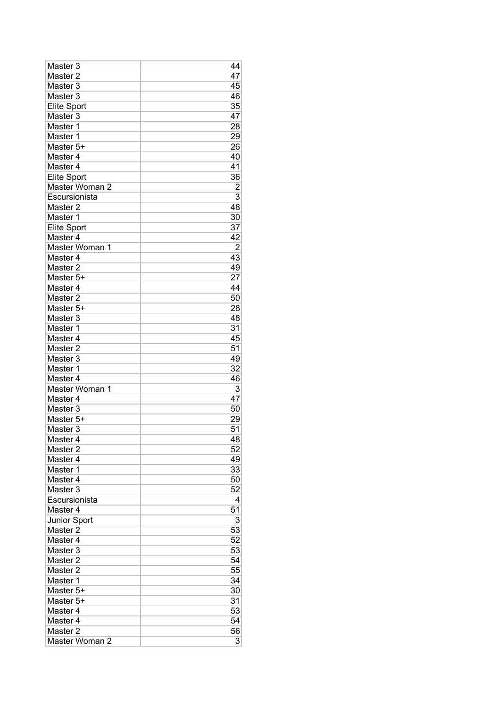| Master 3            | 44             |
|---------------------|----------------|
| Master 2            | 47             |
| Master <sub>3</sub> | 45             |
| Master 3            | 46             |
| <b>Elite Sport</b>  | 35             |
| Master 3            | 47             |
| Master 1            | 28             |
| Master 1            | 29             |
| Master 5+           | 26             |
| Master 4            | 40             |
| Master 4            | 41             |
| <b>Elite Sport</b>  | 36             |
| Master Woman 2      | $\overline{2}$ |
| Escursionista       | $\overline{3}$ |
| Master 2            | 48             |
| Master 1            | 30             |
| <b>Elite Sport</b>  | 37             |
| Master 4            | 42             |
| Master Woman 1      | $\overline{2}$ |
| Master 4            | 43             |
| Master <sub>2</sub> | 49             |
|                     | 27             |
| Master 5+           |                |
| Master 4            | 44             |
| Master <sub>2</sub> | 50             |
| Master 5+           | 28             |
| Master <sub>3</sub> | 48             |
| Master 1            | 31             |
| Master 4            | 45             |
| Master <sub>2</sub> | 51             |
| Master <sub>3</sub> | 49             |
| Master 1            | 32             |
| Master 4            | 46             |
| Master Woman 1      | 3              |
| Master 4            | 47             |
| Master <sub>3</sub> | 50             |
| Master 5+           | 29             |
| Master 3            | 51             |
| Master 4            | 48             |
| Master <sub>2</sub> | 52             |
| Master 4            | 49             |
| Master 1            | 33             |
| Master 4            | 50             |
| Master <sub>3</sub> | 52             |
| Escursionista       | 4              |
| Master 4            | 51             |
| Junior Sport        | 3              |
| Master 2            | 53             |
| Master 4            | 52             |
| Master 3            | 53             |
| Master <sub>2</sub> | 54             |
| Master 2            | 55             |
| Master 1            | 34             |
| Master 5+           |                |
|                     | 30             |
| Master 5+           | 31             |
| Master 4            | 53             |
| Master 4            | 54             |
| Master <sub>2</sub> | 56             |
| Master Woman 2      | 3              |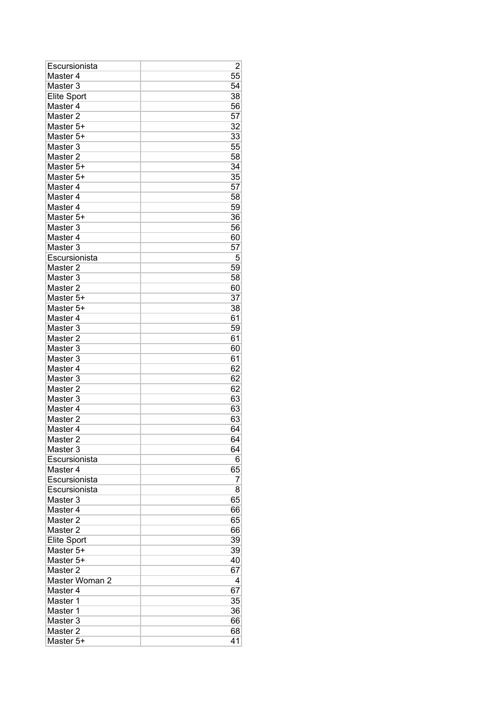| Escursionista       | 2  |
|---------------------|----|
| Master 4            | 55 |
| Master <sub>3</sub> | 54 |
| <b>Elite Sport</b>  | 38 |
| Master 4            | 56 |
| Master <sub>2</sub> | 57 |
| Master 5+           | 32 |
| Master 5+           | 33 |
| Master 3            | 55 |
| Master <sub>2</sub> | 58 |
| Master 5+           | 34 |
| Master 5+           | 35 |
| Master 4            | 57 |
| Master 4            | 58 |
| Master 4            | 59 |
| Master 5+           | 36 |
| Master 3            | 56 |
| Master 4            | 60 |
| Master <sub>3</sub> | 57 |
| Escursionista       | 5  |
| Master <sub>2</sub> | 59 |
| Master 3            |    |
| Master <sub>2</sub> | 58 |
|                     | 60 |
| Master 5+           | 37 |
| Master 5+           | 38 |
| Master 4            | 61 |
| Master 3            | 59 |
| Master <sub>2</sub> | 61 |
| Master 3            | 60 |
| Master 3            | 61 |
| Master 4            | 62 |
| Master 3            | 62 |
| Master <sub>2</sub> | 62 |
| Master 3            | 63 |
| Master <sub>4</sub> | 63 |
| Master <sub>2</sub> | 63 |
| Master <sub>4</sub> | 64 |
| Master <sub>2</sub> | 64 |
| Master <sub>3</sub> | 64 |
| Escursionista       | 6  |
| Master 4            | 65 |
| Escursionista       | 7  |
| Escursionista       | 8  |
| Master 3            | 65 |
| Master 4            | 66 |
| Master <sub>2</sub> | 65 |
| Master <sub>2</sub> | 66 |
| <b>Elite Sport</b>  | 39 |
| Master 5+           | 39 |
| Master 5+           | 40 |
| Master 2            | 67 |
| Master Woman 2      | 4  |
| Master 4            | 67 |
| Master 1            | 35 |
| Master 1            | 36 |
| Master <sub>3</sub> | 66 |
| Master 2            | 68 |
| Master 5+           | 41 |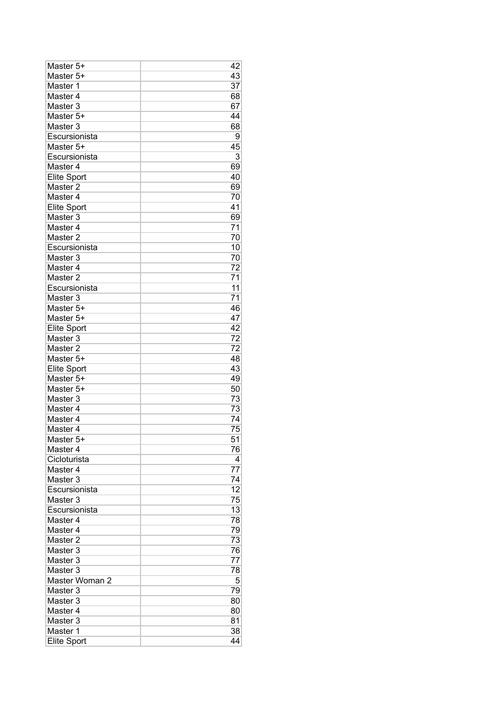| Master 5+           | 42              |
|---------------------|-----------------|
| Master 5+           | 43              |
| Master 1            | 37              |
| Master 4            | 68              |
| Master <sub>3</sub> | 67              |
| Master 5+           | 44              |
| Master 3            | 68              |
| Escursionista       | 9               |
| Master 5+           | 45              |
| Escursionista       | 3               |
| Master 4            | 69              |
| <b>Elite Sport</b>  | 40              |
| Master <sub>2</sub> | 69              |
| Master 4            | 70              |
| <b>Elite Sport</b>  | 41              |
| Master 3            | 69              |
| Master 4            | $\overline{71}$ |
| Master <sub>2</sub> | 70              |
| Escursionista       | 10              |
| Master 3            | 70              |
| Master 4            | 72              |
| Master <sub>2</sub> | 71              |
| Escursionista       | 11              |
| Master <sub>3</sub> | 71              |
| Master 5+           | 46              |
| Master 5+           | 47              |
| <b>Elite Sport</b>  | 42              |
| Master 3            | 72              |
| Master <sub>2</sub> | 72              |
| Master 5+           | 48              |
| <b>Elite Sport</b>  | 43              |
| Master 5+           | 49              |
| Master 5+           | 50              |
| Master 3            | 73              |
| Master 4            | 73              |
| Master 4            | 74              |
| Master 4            | 75              |
| Master 5+           | 51              |
| Master 4            | 76              |
| Cicloturista        | 4               |
| Master 4            | 77              |
| Master <sub>3</sub> | 74              |
| Escursionista       | 12              |
| Master 3            | 75              |
| Escursionista       | 13              |
| Master 4            | 78              |
| Master 4            | 79              |
| Master 2            | 73              |
| Master 3            | 76              |
| Master 3            | 77              |
| Master 3            | 78              |
| Master Woman 2      | 5               |
| Master 3            | 79              |
| Master 3            | 80              |
| Master 4            | 80              |
| Master 3            | 81              |
| Master 1            | 38              |
| <b>Elite Sport</b>  | 44              |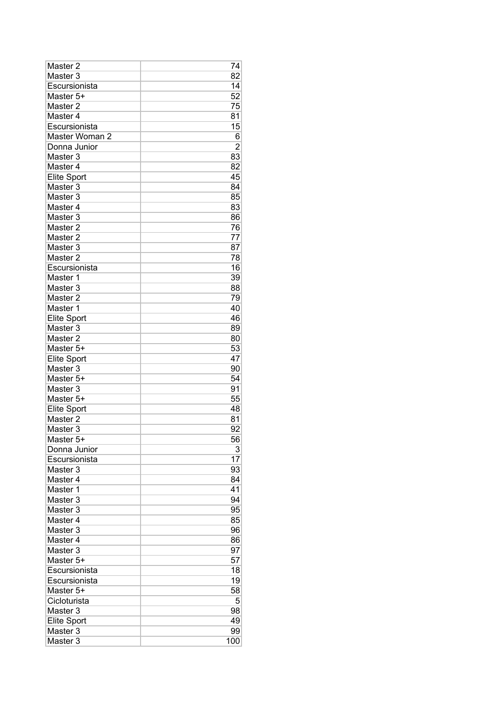| Master 2            | 74             |
|---------------------|----------------|
| Master 3            | 82             |
| Escursionista       | 14             |
| Master 5+           | 52             |
| Master <sub>2</sub> | 75             |
| Master 4            | 81             |
| Escursionista       | 15             |
| Master Woman 2      | 6              |
| Donna Junior        | $\overline{2}$ |
| Master 3            | 83             |
| Master 4            | 82             |
| <b>Elite Sport</b>  | 45             |
| Master 3            | 84             |
| Master 3            | 85             |
| Master 4            | 83             |
| Master 3            | 86             |
| Master <sub>2</sub> | 76             |
| Master <sub>2</sub> | 77             |
| Master 3            | 87             |
| Master <sub>2</sub> | 78             |
| Escursionista       | 16             |
| Master 1            | 39             |
| Master 3            | 88             |
| Master <sub>2</sub> | 79             |
| Master 1            | 40             |
| <b>Elite Sport</b>  | 46             |
| Master 3            | 89             |
| Master <sub>2</sub> | 80             |
| Master 5+           | 53             |
| <b>Elite Sport</b>  | 47             |
| Master 3            | 90             |
| Master 5+           | 54             |
| Master 3            | 91             |
| Master 5+           | 55             |
| Elite Sport         | 48             |
| Master <sub>2</sub> | 81             |
| Master 3            | 92             |
| Master 5+           | 56             |
| Donna Junior        | 3              |
| Escursionista       | 17             |
| Master 3            | 93             |
| Master 4            | 84             |
| Master 1            | 41             |
| Master 3            | 94             |
| Master 3            | 95             |
| Master 4            | 85             |
| Master 3            | 96             |
| Master 4            | 86             |
| Master 3            | 97             |
| Master 5+           | 57             |
| Escursionista       | 18             |
| Escursionista       | 19             |
| Master 5+           | 58             |
| Cicloturista        | 5              |
| Master <sub>3</sub> | 98             |
| <b>Elite Sport</b>  | 49             |
| Master 3            | 99             |
| Master <sub>3</sub> | 100            |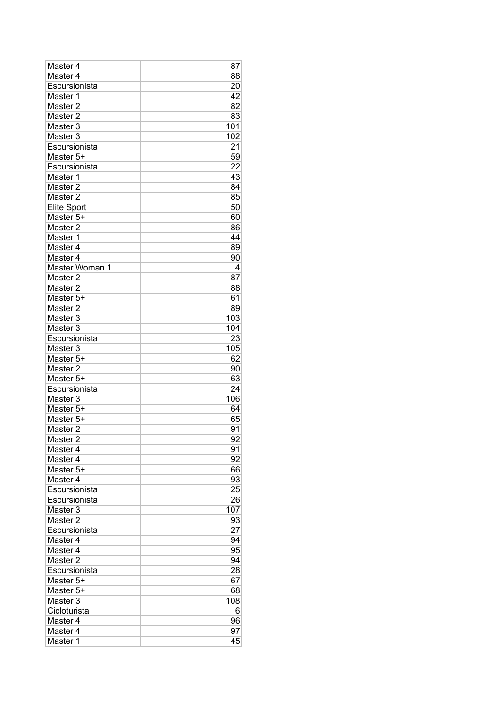| Master 4            | 87  |
|---------------------|-----|
| Master 4            | 88  |
| Escursionista       | 20  |
| Master 1            | 42  |
| Master <sub>2</sub> | 82  |
| Master <sub>2</sub> | 83  |
| Master 3            | 101 |
| Master 3            | 102 |
| Escursionista       | 21  |
| Master 5+           | 59  |
| Escursionista       | 22  |
| Master 1            | 43  |
| Master 2            | 84  |
| Master <sub>2</sub> | 85  |
| <b>Elite Sport</b>  | 50  |
| Master 5+           | 60  |
| Master <sub>2</sub> | 86  |
| Master 1            | 44  |
| Master 4            | 89  |
| Master 4            | 90  |
| Master Woman 1      | 4   |
| Master <sub>2</sub> | 87  |
| Master 2            | 88  |
| Master 5+           | 61  |
| Master 2            | 89  |
| Master 3            | 103 |
| Master 3            | 104 |
| Escursionista       | 23  |
| Master 3            | 105 |
| Master 5+           | 62  |
| Master 2            | 90  |
| Master 5+           | 63  |
| Escursionista       | 24  |
| Master 3            | 106 |
| Master 5+           | 64  |
| Master 5+           | 65  |
| Master <sub>2</sub> | 91  |
| Master <sub>2</sub> | 92  |
| Master 4            | 91  |
| Master 4            | 92  |
| Master 5+           | 66  |
| Master 4            | 93  |
| Escursionista       | 25  |
| Escursionista       | 26  |
| Master 3            | 107 |
| Master 2            | 93  |
| Escursionista       | 27  |
| Master 4            | 94  |
| Master 4            | 95  |
| Master <sub>2</sub> | 94  |
| Escursionista       | 28  |
| Master 5+           | 67  |
| Master 5+           | 68  |
| Master <sub>3</sub> | 108 |
| Cicloturista        | 6   |
| Master 4            | 96  |
| Master 4            | 97  |
| Master <sub>1</sub> | 45  |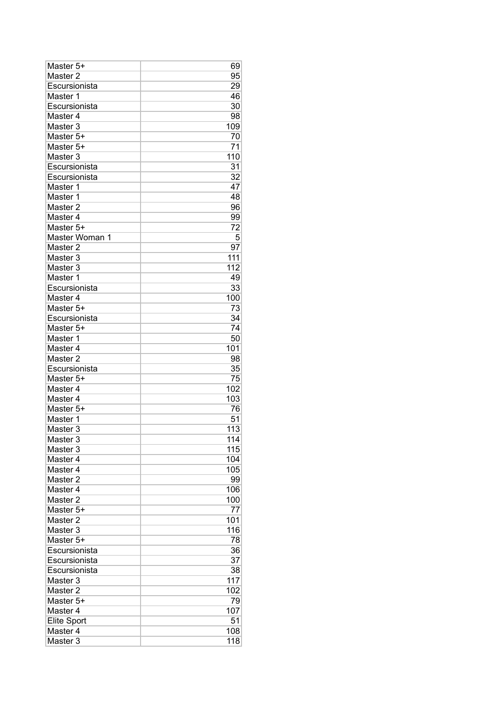| Master 5+           | 69  |
|---------------------|-----|
| Master 2            | 95  |
| Escursionista       | 29  |
| Master 1            | 46  |
| Escursionista       | 30  |
| Master 4            | 98  |
| Master <sub>3</sub> | 109 |
| Master 5+           | 70  |
| Master 5+           | 71  |
| Master 3            | 110 |
| Escursionista       | 31  |
| Escursionista       | 32  |
| Master 1            | 47  |
| Master 1            | 48  |
| Master 2            | 96  |
| Master 4            | 99  |
| Master 5+           | 72  |
| Master Woman 1      | 5   |
| Master <sub>2</sub> | 97  |
| Master 3            | 111 |
| Master 3            | 112 |
| Master 1            | 49  |
| Escursionista       | 33  |
| Master 4            | 100 |
| Master 5+           | 73  |
| Escursionista       | 34  |
| Master 5+           | 74  |
| Master 1            | 50  |
| Master 4            | 101 |
| Master 2            | 98  |
| Escursionista       | 35  |
| Master 5+           | 75  |
| Master 4            | 102 |
| Master 4            | 103 |
| Master 5+           | 76  |
| Master 1            | 51  |
| Master <sub>3</sub> | 113 |
| Master 3            | 114 |
| Master 3            | 115 |
| Master 4            | 104 |
| Master 4            | 105 |
| Master <sub>2</sub> | 99  |
| Master 4            | 106 |
| Master 2            | 100 |
| Master 5+           | 77  |
| Master <sub>2</sub> | 101 |
| Master 3            | 116 |
| Master 5+           | 78  |
| Escursionista       | 36  |
| Escursionista       | 37  |
| Escursionista       | 38  |
| Master 3            | 117 |
| Master 2            | 102 |
| Master 5+           | 79  |
| Master <sub>4</sub> | 107 |
| <b>Elite Sport</b>  | 51  |
| Master 4            | 108 |
| Master <sub>3</sub> | 118 |
|                     |     |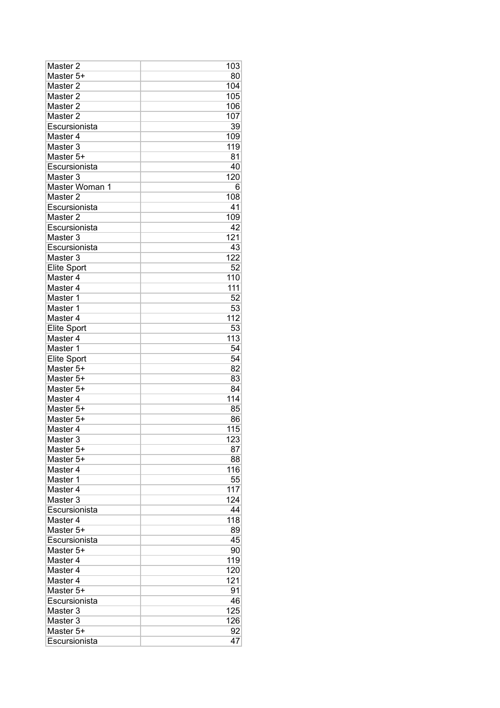| Master 2            | 103 |
|---------------------|-----|
| Master 5+           | 80  |
| Master <sub>2</sub> | 104 |
| Master <sub>2</sub> | 105 |
| Master <sub>2</sub> | 106 |
| Master <sub>2</sub> | 107 |
| Escursionista       | 39  |
| Master 4            | 109 |
| Master 3            | 119 |
| Master 5+           | 81  |
| Escursionista       | 40  |
| Master 3            | 120 |
| Master Woman 1      | 6   |
| Master <sub>2</sub> | 108 |
| Escursionista       | 41  |
| Master 2            | 109 |
| Escursionista       | 42  |
| Master 3            | 121 |
| Escursionista       | 43  |
| Master <sub>3</sub> | 122 |
| <b>Elite Sport</b>  | 52  |
| Master 4            | 110 |
| Master 4            | 111 |
| Master 1            | 52  |
| Master 1            | 53  |
| Master 4            | 112 |
| <b>Elite Sport</b>  | 53  |
| Master 4            | 113 |
| Master 1            | 54  |
| <b>Elite Sport</b>  | 54  |
| Master 5+           | 82  |
| Master 5+           | 83  |
| Master 5+           | 84  |
| Master 4            | 114 |
| Master 5+           | 85  |
| Master 5+           | 86  |
| Master 4            | 115 |
| Master <sub>3</sub> | 123 |
| Master 5+           | 87  |
| Master 5+           | 88  |
| Master 4            | 116 |
| Master 1            | 55  |
| Master <sub>4</sub> | 117 |
| Master 3            | 124 |
| Escursionista       | 44  |
| Master 4            | 118 |
| Master 5+           | 89  |
| Escursionista       | 45  |
| Master 5+           | 90  |
| Master 4            | 119 |
| Master 4            | 120 |
| Master <sub>4</sub> | 121 |
| Master 5+           | 91  |
| Escursionista       | 46  |
| Master 3            | 125 |
| Master 3            | 126 |
| Master 5+           | 92  |
| Escursionista       | 47  |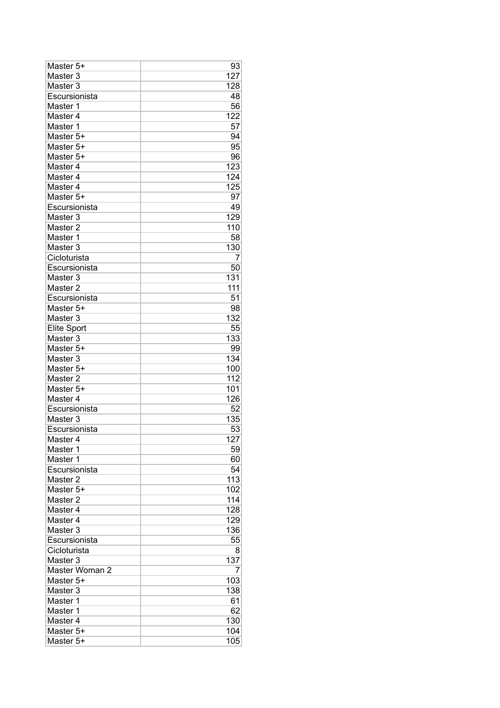| Master 5+           | 93  |
|---------------------|-----|
| Master 3            | 127 |
| Master <sub>3</sub> | 128 |
| Escursionista       | 48  |
| Master 1            | 56  |
| Master 4            | 122 |
| Master 1            | 57  |
| Master 5+           | 94  |
| Master 5+           | 95  |
| Master 5+           | 96  |
| Master 4            | 123 |
| Master 4            | 124 |
| Master 4            | 125 |
| Master 5+           | 97  |
| Escursionista       | 49  |
| Master 3            | 129 |
| Master <sub>2</sub> | 110 |
| Master 1            | 58  |
| Master 3            | 130 |
| Cicloturista        | 7   |
| Escursionista       | 50  |
| Master 3            | 131 |
| Master <sub>2</sub> | 111 |
| Escursionista       | 51  |
| Master 5+           | 98  |
| Master 3            | 132 |
| <b>Elite Sport</b>  | 55  |
| Master <sub>3</sub> | 133 |
| Master 5+           | 99  |
| Master <sub>3</sub> | 134 |
| Master 5+           | 100 |
| Master <sub>2</sub> | 112 |
| Master 5+           | 101 |
| Master 4            | 126 |
| Escursionista       | 52  |
| Master 3            | 135 |
| Escursionista       | 53  |
| Master 4            | 127 |
| Master 1            | 59  |
| Master 1            | 60  |
| Escursionista       | 54  |
| Master 2            | 113 |
| Master 5+           | 102 |
| Master 2            | 114 |
| Master 4            | 128 |
| Master 4            | 129 |
| Master 3            | 136 |
| Escursionista       | 55  |
| Cicloturista        | 8   |
| Master 3            | 137 |
| Master Woman 2      | 7   |
| Master 5+           | 103 |
| Master 3            | 138 |
| Master 1            | 61  |
| Master 1            | 62  |
| Master 4            | 130 |
| Master 5+           | 104 |
| Master 5+           | 105 |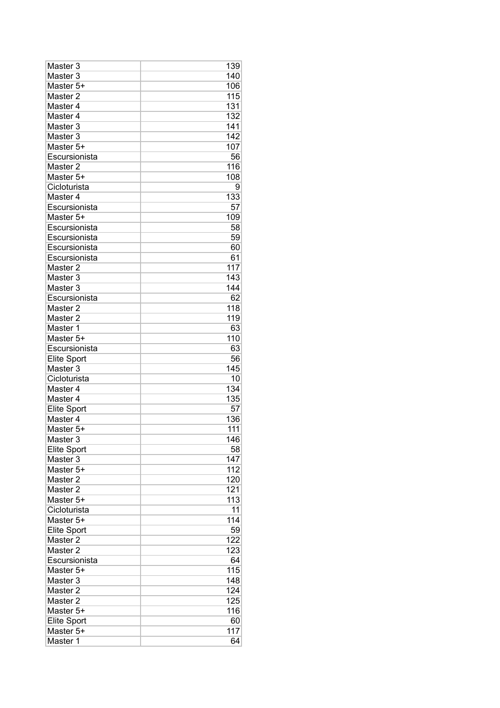| Master 3            | 139 |
|---------------------|-----|
| Master <sub>3</sub> | 140 |
| Master 5+           | 106 |
| Master <sub>2</sub> | 115 |
| Master 4            | 131 |
| Master 4            | 132 |
| Master <sub>3</sub> | 141 |
| Master 3            | 142 |
| Master 5+           | 107 |
| Escursionista       | 56  |
| Master 2            | 116 |
| Master 5+           | 108 |
| Cicloturista        | 9   |
| Master 4            | 133 |
| Escursionista       | 57  |
| Master 5+           | 109 |
| Escursionista       | 58  |
| Escursionista       | 59  |
| Escursionista       | 60  |
| Escursionista       | 61  |
| Master <sub>2</sub> | 117 |
| Master 3            | 143 |
| Master <sub>3</sub> | 144 |
| Escursionista       | 62  |
| Master 2            | 118 |
| Master <sub>2</sub> | 119 |
| Master 1            | 63  |
| Master 5+           | 110 |
| Escursionista       | 63  |
| <b>Elite Sport</b>  | 56  |
| Master 3            | 145 |
| Cicloturista        | 10  |
| Master 4            | 134 |
| Master 4            | 135 |
| <b>Elite Sport</b>  | 57  |
| Master 4            | 136 |
| Master 5+           | 111 |
| Master 3            | 146 |
| Elite Sport         | 58  |
| Master 3            | 147 |
| Master 5+           | 112 |
| Master <sub>2</sub> | 120 |
| Master 2            | 121 |
| Master 5+           | 113 |
| Cicloturista        | 11  |
| Master 5+           | 114 |
| <b>Elite Sport</b>  | 59  |
| Master 2            | 122 |
| Master <sub>2</sub> | 123 |
| Escursionista       | 64  |
| Master 5+           | 115 |
| Master 3            | 148 |
| Master 2            | 124 |
| Master 2            | 125 |
| Master 5+           | 116 |
| <b>Elite Sport</b>  | 60  |
| Master 5+           | 117 |
| Master 1            | 64  |
|                     |     |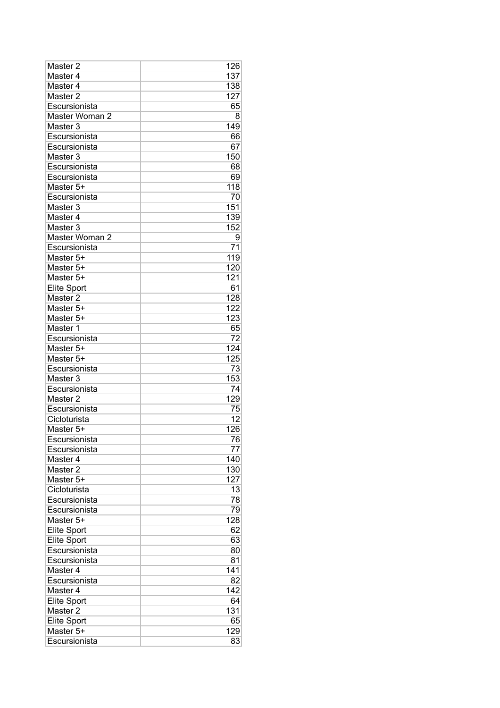| Master 2           | 126 |
|--------------------|-----|
| Master 4           | 137 |
| Master 4           | 138 |
| Master 2           | 127 |
| Escursionista      | 65  |
| Master Woman 2     | 8   |
| Master 3           | 149 |
| Escursionista      | 66  |
| Escursionista      | 67  |
| Master 3           | 150 |
| Escursionista      | 68  |
| Escursionista      | 69  |
| Master 5+          | 118 |
| Escursionista      | 70  |
| Master 3           | 151 |
| Master 4           | 139 |
| Master 3           | 152 |
| Master Woman 2     | 9   |
| Escursionista      | 71  |
|                    | 119 |
| Master 5+          |     |
| Master 5+          | 120 |
| Master 5+          | 121 |
| <b>Elite Sport</b> | 61  |
| Master 2           | 128 |
| Master 5+          | 122 |
| Master 5+          | 123 |
| Master 1           | 65  |
| Escursionista      | 72  |
| Master 5+          | 124 |
| Master 5+          | 125 |
| Escursionista      | 73  |
| Master 3           | 153 |
| Escursionista      | 74  |
| Master 2           | 129 |
| Escursionista      | 75  |
| Cicloturista       | 12  |
| Master 5+          | 126 |
| Escursionista      | 76  |
| Escursionista      | 77  |
| Master 4           | 140 |
| Master 2           | 130 |
| Master 5+          | 127 |
| Cicloturista       | 13  |
| Escursionista      | 78  |
| Escursionista      | 79  |
| Master 5+          | 128 |
| Elite Sport        | 62  |
| Elite Sport        | 63  |
| Escursionista      | 80  |
| Escursionista      | 81  |
| Master 4           | 141 |
| Escursionista      | 82  |
| Master 4           | 142 |
|                    |     |
| Elite Sport        | 64  |
| Master 2           | 131 |
| Elite Sport        | 65  |
| Master 5+          | 129 |
| Escursionista      | 83  |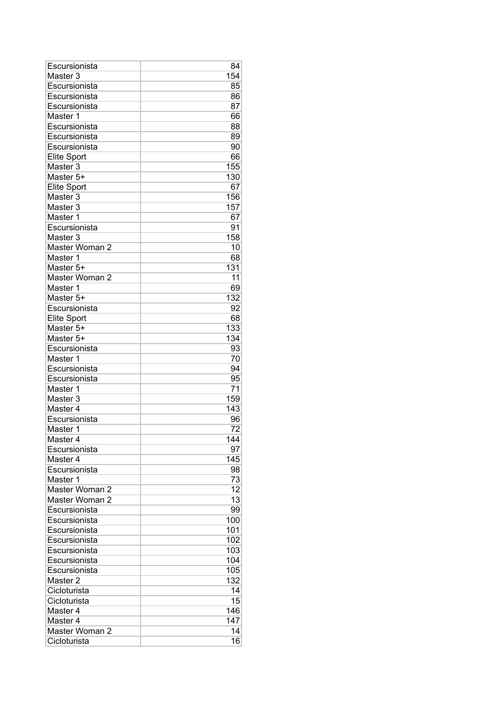| Escursionista                    | 84  |
|----------------------------------|-----|
| Master 3                         | 154 |
| Escursionista                    | 85  |
| Escursionista                    | 86  |
| Escursionista                    | 87  |
| Master 1                         | 66  |
| Escursionista                    | 88  |
| Escursionista                    | 89  |
| Escursionista                    | 90  |
| <b>Elite Sport</b>               | 66  |
| Master <sub>3</sub>              | 155 |
| Master 5+                        | 130 |
| <b>Elite Sport</b>               | 67  |
| Master 3                         | 156 |
| Master 3                         | 157 |
| Master 1                         | 67  |
| Escursionista                    | 91  |
| Master 3                         | 158 |
| Master Woman 2                   | 10  |
| Master 1                         | 68  |
| Master 5+                        | 131 |
| Master Woman 2                   | 11  |
| Master 1                         | 69  |
| Master 5+                        | 132 |
| Escursionista                    | 92  |
| <b>Elite Sport</b>               | 68  |
| Master 5+                        | 133 |
| Master 5+                        | 134 |
| Escursionista                    | 93  |
| Master 1                         | 70  |
| Escursionista                    | 94  |
| Escursionista                    | 95  |
| Master 1                         | 71  |
| Master <sub>3</sub>              | 159 |
| Master 4                         | 143 |
| Escursionista                    | 96  |
| Master 1                         | 72  |
| Master 4                         | 144 |
| Escursionista                    | 97  |
| Master 4                         | 145 |
| Escursionista                    | 98  |
|                                  | 73  |
| Master 1                         | 12  |
| Master Woman 2<br>Master Woman 2 | 13  |
|                                  |     |
| Escursionista                    | 99  |
| Escursionista                    | 100 |
| Escursionista                    | 101 |
| Escursionista                    | 102 |
| Escursionista                    | 103 |
| Escursionista                    | 104 |
| Escursionista                    | 105 |
| Master <sub>2</sub>              | 132 |
| Cicloturista                     | 14  |
| Cicloturista                     | 15  |
| Master 4                         | 146 |
| Master 4                         | 147 |
| Master Woman 2                   | 14  |
| Cicloturista                     | 16  |